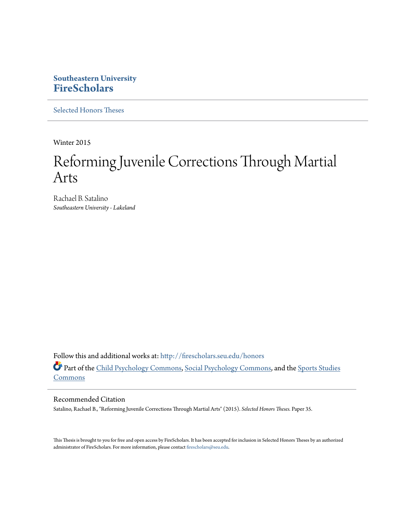## **Southeastern University [FireScholars](http://firescholars.seu.edu?utm_source=firescholars.seu.edu%2Fhonors%2F35&utm_medium=PDF&utm_campaign=PDFCoverPages)**

[Selected Honors Theses](http://firescholars.seu.edu/honors?utm_source=firescholars.seu.edu%2Fhonors%2F35&utm_medium=PDF&utm_campaign=PDFCoverPages)

Winter 2015

# Reforming Juvenile Corrections Through Martial Arts

Rachael B. Satalino *Southeastern University - Lakeland*

Follow this and additional works at: [http://firescholars.seu.edu/honors](http://firescholars.seu.edu/honors?utm_source=firescholars.seu.edu%2Fhonors%2F35&utm_medium=PDF&utm_campaign=PDFCoverPages) Part of the [Child Psychology Commons](http://network.bepress.com/hgg/discipline/1023?utm_source=firescholars.seu.edu%2Fhonors%2F35&utm_medium=PDF&utm_campaign=PDFCoverPages), [Social Psychology Commons,](http://network.bepress.com/hgg/discipline/414?utm_source=firescholars.seu.edu%2Fhonors%2F35&utm_medium=PDF&utm_campaign=PDFCoverPages) and the [Sports Studies](http://network.bepress.com/hgg/discipline/1198?utm_source=firescholars.seu.edu%2Fhonors%2F35&utm_medium=PDF&utm_campaign=PDFCoverPages) **[Commons](http://network.bepress.com/hgg/discipline/1198?utm_source=firescholars.seu.edu%2Fhonors%2F35&utm_medium=PDF&utm_campaign=PDFCoverPages)** 

#### Recommended Citation

Satalino, Rachael B., "Reforming Juvenile Corrections Through Martial Arts" (2015). *Selected Honors Theses.* Paper 35.

This Thesis is brought to you for free and open access by FireScholars. It has been accepted for inclusion in Selected Honors Theses by an authorized administrator of FireScholars. For more information, please contact [firescholars@seu.edu](mailto:firescholars@seu.edu).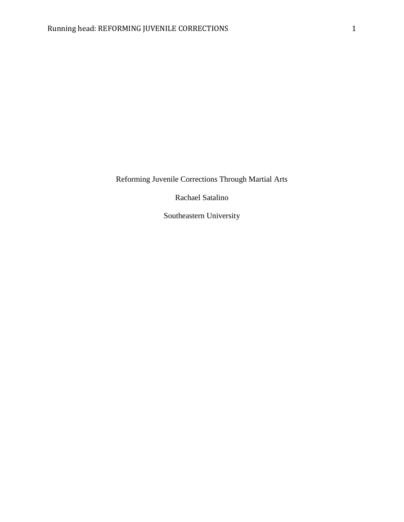Reforming Juvenile Corrections Through Martial Arts

Rachael Satalino

Southeastern University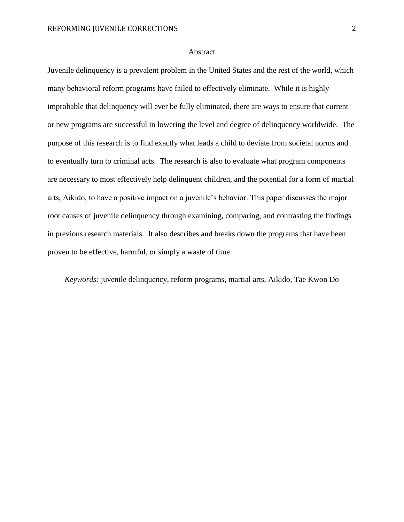#### Abstract

Juvenile delinquency is a prevalent problem in the United States and the rest of the world, which many behavioral reform programs have failed to effectively eliminate. While it is highly improbable that delinquency will ever be fully eliminated, there are ways to ensure that current or new programs are successful in lowering the level and degree of delinquency worldwide. The purpose of this research is to find exactly what leads a child to deviate from societal norms and to eventually turn to criminal acts. The research is also to evaluate what program components are necessary to most effectively help delinquent children, and the potential for a form of martial arts, Aikido, to have a positive impact on a juvenile's behavior. This paper discusses the major root causes of juvenile delinquency through examining, comparing, and contrasting the findings in previous research materials. It also describes and breaks down the programs that have been proven to be effective, harmful, or simply a waste of time.

*Keywords:* juvenile delinquency, reform programs, martial arts, Aikido, Tae Kwon Do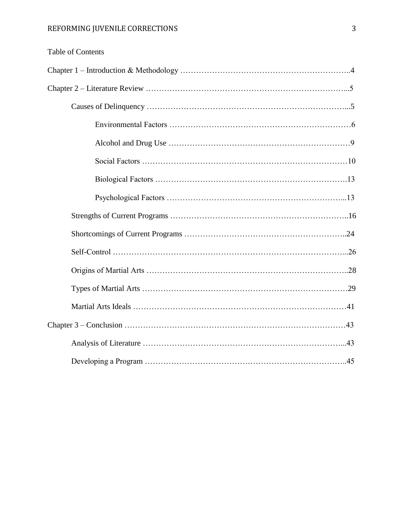| <b>Table of Contents</b> |
|--------------------------|
|                          |
|                          |
|                          |
|                          |
|                          |
|                          |
|                          |
|                          |
|                          |
|                          |
|                          |
|                          |
|                          |
|                          |
|                          |

Analysis of Literature …………………………………………………………………...43

Developing a Program …………………………………………………………………..45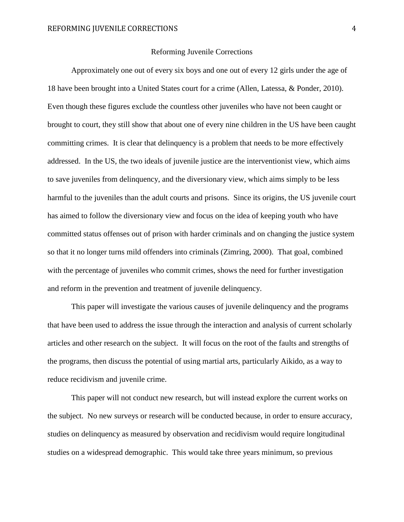#### Reforming Juvenile Corrections

Approximately one out of every six boys and one out of every 12 girls under the age of 18 have been brought into a United States court for a crime (Allen, Latessa, & Ponder, 2010). Even though these figures exclude the countless other juveniles who have not been caught or brought to court, they still show that about one of every nine children in the US have been caught committing crimes. It is clear that delinquency is a problem that needs to be more effectively addressed. In the US, the two ideals of juvenile justice are the interventionist view, which aims to save juveniles from delinquency, and the diversionary view, which aims simply to be less harmful to the juveniles than the adult courts and prisons. Since its origins, the US juvenile court has aimed to follow the diversionary view and focus on the idea of keeping youth who have committed status offenses out of prison with harder criminals and on changing the justice system so that it no longer turns mild offenders into criminals (Zimring, 2000). That goal, combined with the percentage of juveniles who commit crimes, shows the need for further investigation and reform in the prevention and treatment of juvenile delinquency.

This paper will investigate the various causes of juvenile delinquency and the programs that have been used to address the issue through the interaction and analysis of current scholarly articles and other research on the subject. It will focus on the root of the faults and strengths of the programs, then discuss the potential of using martial arts, particularly Aikido, as a way to reduce recidivism and juvenile crime.

This paper will not conduct new research, but will instead explore the current works on the subject. No new surveys or research will be conducted because, in order to ensure accuracy, studies on delinquency as measured by observation and recidivism would require longitudinal studies on a widespread demographic. This would take three years minimum, so previous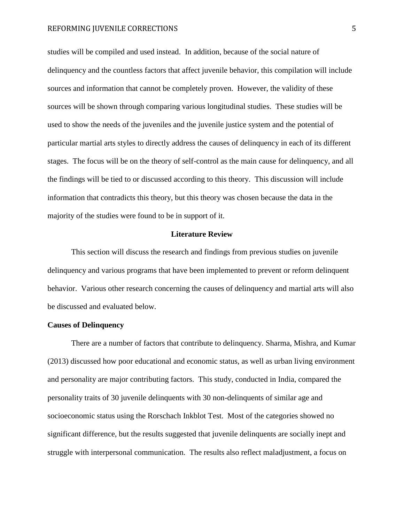studies will be compiled and used instead. In addition, because of the social nature of delinquency and the countless factors that affect juvenile behavior, this compilation will include sources and information that cannot be completely proven. However, the validity of these sources will be shown through comparing various longitudinal studies. These studies will be used to show the needs of the juveniles and the juvenile justice system and the potential of particular martial arts styles to directly address the causes of delinquency in each of its different stages. The focus will be on the theory of self-control as the main cause for delinquency, and all the findings will be tied to or discussed according to this theory. This discussion will include information that contradicts this theory, but this theory was chosen because the data in the majority of the studies were found to be in support of it.

#### **Literature Review**

This section will discuss the research and findings from previous studies on juvenile delinquency and various programs that have been implemented to prevent or reform delinquent behavior. Various other research concerning the causes of delinquency and martial arts will also be discussed and evaluated below.

### **Causes of Delinquency**

There are a number of factors that contribute to delinquency. Sharma, Mishra, and Kumar (2013) discussed how poor educational and economic status, as well as urban living environment and personality are major contributing factors. This study, conducted in India, compared the personality traits of 30 juvenile delinquents with 30 non-delinquents of similar age and socioeconomic status using the Rorschach Inkblot Test. Most of the categories showed no significant difference, but the results suggested that juvenile delinquents are socially inept and struggle with interpersonal communication. The results also reflect maladjustment, a focus on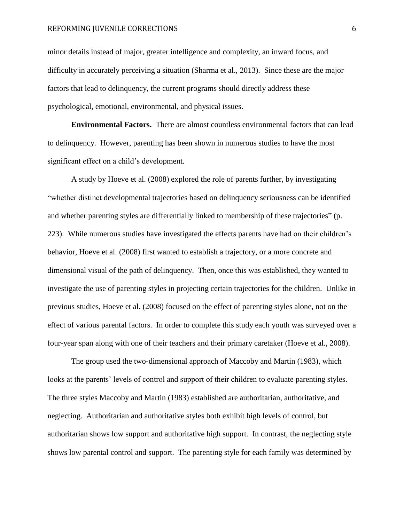minor details instead of major, greater intelligence and complexity, an inward focus, and difficulty in accurately perceiving a situation (Sharma et al., 2013). Since these are the major factors that lead to delinquency, the current programs should directly address these psychological, emotional, environmental, and physical issues.

**Environmental Factors.** There are almost countless environmental factors that can lead to delinquency. However, parenting has been shown in numerous studies to have the most significant effect on a child's development.

A study by Hoeve et al. (2008) explored the role of parents further, by investigating "whether distinct developmental trajectories based on delinquency seriousness can be identified and whether parenting styles are differentially linked to membership of these trajectories" (p. 223). While numerous studies have investigated the effects parents have had on their children's behavior, Hoeve et al. (2008) first wanted to establish a trajectory, or a more concrete and dimensional visual of the path of delinquency. Then, once this was established, they wanted to investigate the use of parenting styles in projecting certain trajectories for the children. Unlike in previous studies, Hoeve et al. (2008) focused on the effect of parenting styles alone, not on the effect of various parental factors. In order to complete this study each youth was surveyed over a four-year span along with one of their teachers and their primary caretaker (Hoeve et al., 2008).

The group used the two-dimensional approach of Maccoby and Martin (1983), which looks at the parents' levels of control and support of their children to evaluate parenting styles. The three styles Maccoby and Martin (1983) established are authoritarian, authoritative, and neglecting. Authoritarian and authoritative styles both exhibit high levels of control, but authoritarian shows low support and authoritative high support. In contrast, the neglecting style shows low parental control and support. The parenting style for each family was determined by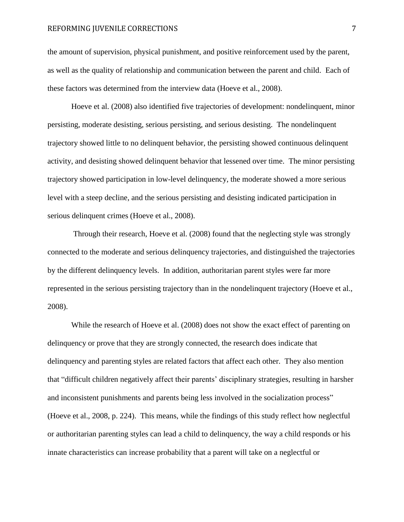the amount of supervision, physical punishment, and positive reinforcement used by the parent, as well as the quality of relationship and communication between the parent and child. Each of these factors was determined from the interview data (Hoeve et al., 2008).

Hoeve et al. (2008) also identified five trajectories of development: nondelinquent, minor persisting, moderate desisting, serious persisting, and serious desisting. The nondelinquent trajectory showed little to no delinquent behavior, the persisting showed continuous delinquent activity, and desisting showed delinquent behavior that lessened over time. The minor persisting trajectory showed participation in low-level delinquency, the moderate showed a more serious level with a steep decline, and the serious persisting and desisting indicated participation in serious delinquent crimes (Hoeve et al., 2008).

Through their research, Hoeve et al. (2008) found that the neglecting style was strongly connected to the moderate and serious delinquency trajectories, and distinguished the trajectories by the different delinquency levels. In addition, authoritarian parent styles were far more represented in the serious persisting trajectory than in the nondelinquent trajectory (Hoeve et al., 2008).

While the research of Hoeve et al. (2008) does not show the exact effect of parenting on delinquency or prove that they are strongly connected, the research does indicate that delinquency and parenting styles are related factors that affect each other. They also mention that "difficult children negatively affect their parents' disciplinary strategies, resulting in harsher and inconsistent punishments and parents being less involved in the socialization process" (Hoeve et al., 2008, p. 224). This means, while the findings of this study reflect how neglectful or authoritarian parenting styles can lead a child to delinquency, the way a child responds or his innate characteristics can increase probability that a parent will take on a neglectful or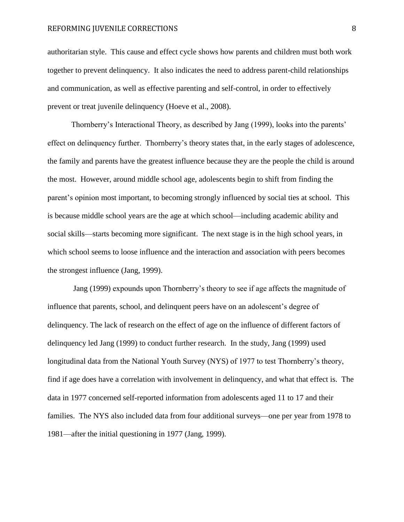authoritarian style. This cause and effect cycle shows how parents and children must both work together to prevent delinquency. It also indicates the need to address parent-child relationships and communication, as well as effective parenting and self-control, in order to effectively prevent or treat juvenile delinquency (Hoeve et al., 2008).

Thornberry's Interactional Theory, as described by Jang (1999), looks into the parents' effect on delinquency further. Thornberry's theory states that, in the early stages of adolescence, the family and parents have the greatest influence because they are the people the child is around the most. However, around middle school age, adolescents begin to shift from finding the parent's opinion most important, to becoming strongly influenced by social ties at school. This is because middle school years are the age at which school—including academic ability and social skills—starts becoming more significant. The next stage is in the high school years, in which school seems to loose influence and the interaction and association with peers becomes the strongest influence (Jang, 1999).

Jang (1999) expounds upon Thornberry's theory to see if age affects the magnitude of influence that parents, school, and delinquent peers have on an adolescent's degree of delinquency. The lack of research on the effect of age on the influence of different factors of delinquency led Jang (1999) to conduct further research. In the study, Jang (1999) used longitudinal data from the National Youth Survey (NYS) of 1977 to test Thornberry's theory, find if age does have a correlation with involvement in delinquency, and what that effect is. The data in 1977 concerned self-reported information from adolescents aged 11 to 17 and their families. The NYS also included data from four additional surveys—one per year from 1978 to 1981—after the initial questioning in 1977 (Jang, 1999).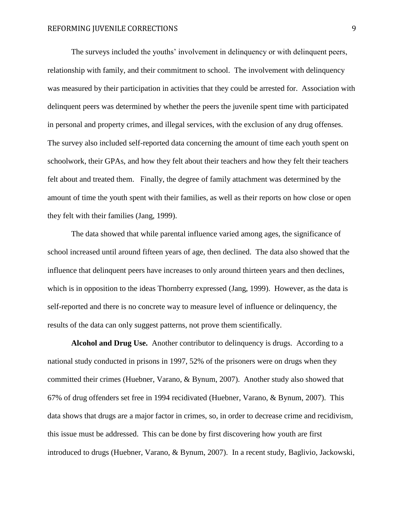The surveys included the youths' involvement in delinquency or with delinquent peers, relationship with family, and their commitment to school. The involvement with delinquency was measured by their participation in activities that they could be arrested for. Association with delinquent peers was determined by whether the peers the juvenile spent time with participated in personal and property crimes, and illegal services, with the exclusion of any drug offenses. The survey also included self-reported data concerning the amount of time each youth spent on schoolwork, their GPAs, and how they felt about their teachers and how they felt their teachers felt about and treated them. Finally, the degree of family attachment was determined by the amount of time the youth spent with their families, as well as their reports on how close or open they felt with their families (Jang, 1999).

The data showed that while parental influence varied among ages, the significance of school increased until around fifteen years of age, then declined. The data also showed that the influence that delinquent peers have increases to only around thirteen years and then declines, which is in opposition to the ideas Thornberry expressed (Jang, 1999). However, as the data is self-reported and there is no concrete way to measure level of influence or delinquency, the results of the data can only suggest patterns, not prove them scientifically.

**Alcohol and Drug Use.** Another contributor to delinquency is drugs. According to a national study conducted in prisons in 1997, 52% of the prisoners were on drugs when they committed their crimes (Huebner, Varano, & Bynum, 2007). Another study also showed that 67% of drug offenders set free in 1994 recidivated (Huebner, Varano, & Bynum, 2007). This data shows that drugs are a major factor in crimes, so, in order to decrease crime and recidivism, this issue must be addressed. This can be done by first discovering how youth are first introduced to drugs (Huebner, Varano, & Bynum, 2007). In a recent study, Baglivio, Jackowski,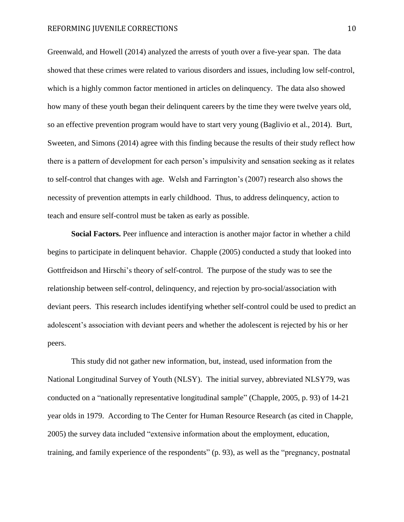Greenwald, and Howell (2014) analyzed the arrests of youth over a five-year span. The data showed that these crimes were related to various disorders and issues, including low self-control, which is a highly common factor mentioned in articles on delinquency. The data also showed how many of these youth began their delinquent careers by the time they were twelve years old, so an effective prevention program would have to start very young (Baglivio et al., 2014). Burt, Sweeten, and Simons (2014) agree with this finding because the results of their study reflect how there is a pattern of development for each person's impulsivity and sensation seeking as it relates to self-control that changes with age. Welsh and Farrington's (2007) research also shows the necessity of prevention attempts in early childhood. Thus, to address delinquency, action to teach and ensure self-control must be taken as early as possible.

**Social Factors.** Peer influence and interaction is another major factor in whether a child begins to participate in delinquent behavior. Chapple (2005) conducted a study that looked into Gottfreidson and Hirschi's theory of self-control. The purpose of the study was to see the relationship between self-control, delinquency, and rejection by pro-social/association with deviant peers. This research includes identifying whether self-control could be used to predict an adolescent's association with deviant peers and whether the adolescent is rejected by his or her peers.

This study did not gather new information, but, instead, used information from the National Longitudinal Survey of Youth (NLSY). The initial survey, abbreviated NLSY79, was conducted on a "nationally representative longitudinal sample" (Chapple, 2005, p. 93) of 14-21 year olds in 1979. According to The Center for Human Resource Research (as cited in Chapple, 2005) the survey data included "extensive information about the employment, education, training, and family experience of the respondents" (p. 93), as well as the "pregnancy, postnatal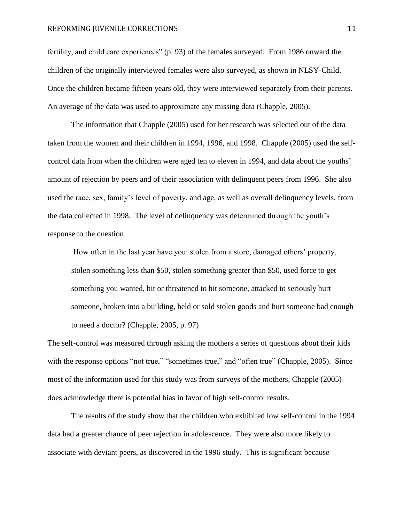fertility, and child care experiences" (p. 93) of the females surveyed. From 1986 onward the children of the originally interviewed females were also surveyed, as shown in NLSY-Child. Once the children became fifteen years old, they were interviewed separately from their parents. An average of the data was used to approximate any missing data (Chapple, 2005).

The information that Chapple (2005) used for her research was selected out of the data taken from the women and their children in 1994, 1996, and 1998. Chapple (2005) used the selfcontrol data from when the children were aged ten to eleven in 1994, and data about the youths' amount of rejection by peers and of their association with delinquent peers from 1996. She also used the race, sex, family's level of poverty, and age, as well as overall delinquency levels, from the data collected in 1998. The level of delinquency was determined through the youth's response to the question

How often in the last year have you: stolen from a store, damaged others' property, stolen something less than \$50, stolen something greater than \$50, used force to get something you wanted, hit or threatened to hit someone, attacked to seriously hurt someone, broken into a building, held or sold stolen goods and hurt someone bad enough to need a doctor? (Chapple, 2005, p. 97)

The self-control was measured through asking the mothers a series of questions about their kids with the response options "not true," "sometimes true," and "often true" (Chapple, 2005). Since most of the information used for this study was from surveys of the mothers, Chapple (2005) does acknowledge there is potential bias in favor of high self-control results.

The results of the study show that the children who exhibited low self-control in the 1994 data had a greater chance of peer rejection in adolescence. They were also more likely to associate with deviant peers, as discovered in the 1996 study. This is significant because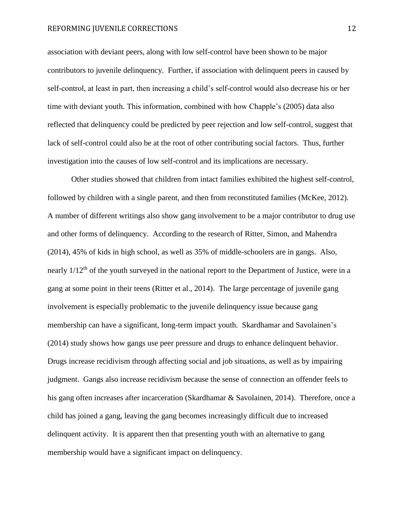association with deviant peers, along with low self-control have been shown to be major contributors to juvenile delinquency. Further, if association with delinquent peers in caused by self-control, at least in part, then increasing a child's self-control would also decrease his or her time with deviant youth. This information, combined with how Chapple's (2005) data also reflected that delinquency could be predicted by peer rejection and low self-control, suggest that lack of self-control could also be at the root of other contributing social factors. Thus, further investigation into the causes of low self-control and its implications are necessary.

Other studies showed that children from intact families exhibited the highest self-control, followed by children with a single parent, and then from reconstituted families (McKee, 2012). A number of different writings also show gang involvement to be a major contributor to drug use and other forms of delinquency. According to the research of Ritter, Simon, and Mahendra (2014), 45% of kids in high school, as well as 35% of middle-schoolers are in gangs. Also, nearly 1/12<sup>th</sup> of the youth surveyed in the national report to the Department of Justice, were in a gang at some point in their teens (Ritter et al., 2014). The large percentage of juvenile gang involvement is especially problematic to the juvenile delinquency issue because gang membership can have a significant, long-term impact youth. Skardhamar and Savolainen's (2014) study shows how gangs use peer pressure and drugs to enhance delinquent behavior. Drugs increase recidivism through affecting social and job situations, as well as by impairing judgment. Gangs also increase recidivism because the sense of connection an offender feels to his gang often increases after incarceration (Skardhamar & Savolainen, 2014). Therefore, once a child has joined a gang, leaving the gang becomes increasingly difficult due to increased delinquent activity. It is apparent then that presenting youth with an alternative to gang membership would have a significant impact on delinquency.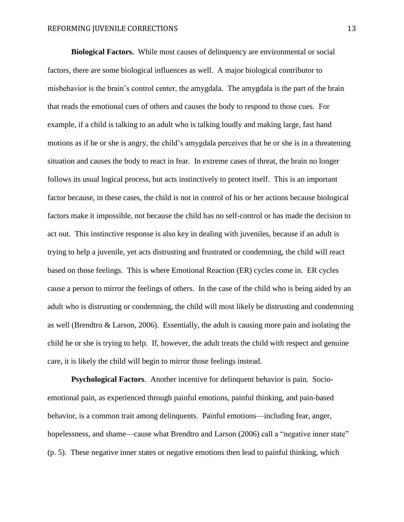**Biological Factors.** While most causes of delinquency are environmental or social factors, there are some biological influences as well. A major biological contributor to misbehavior is the brain's control center, the amygdala. The amygdala is the part of the brain that reads the emotional cues of others and causes the body to respond to those cues. For example, if a child is talking to an adult who is talking loudly and making large, fast hand motions as if he or she is angry, the child's amygdala perceives that he or she is in a threatening situation and causes the body to react in fear. In extreme cases of threat, the brain no longer follows its usual logical process, but acts instinctively to protect itself. This is an important factor because, in these cases, the child is not in control of his or her actions because biological factors make it impossible, not because the child has no self-control or has made the decision to act out. This instinctive response is also key in dealing with juveniles, because if an adult is trying to help a juvenile, yet acts distrusting and frustrated or condemning, the child will react based on those feelings. This is where Emotional Reaction (ER) cycles come in. ER cycles cause a person to mirror the feelings of others. In the case of the child who is being aided by an adult who is distrusting or condemning, the child will most likely be distrusting and condemning as well (Brendtro & Larson, 2006). Essentially, the adult is causing more pain and isolating the child he or she is trying to help. If, however, the adult treats the child with respect and genuine care, it is likely the child will begin to mirror those feelings instead.

**Psychological Factors**. Another incentive for delinquent behavior is pain. Socioemotional pain, as experienced through painful emotions, painful thinking, and pain-based behavior, is a common trait among delinquents. Painful emotions—including fear, anger, hopelessness, and shame—cause what Brendtro and Larson (2006) call a "negative inner state" (p. 5). These negative inner states or negative emotions then lead to painful thinking, which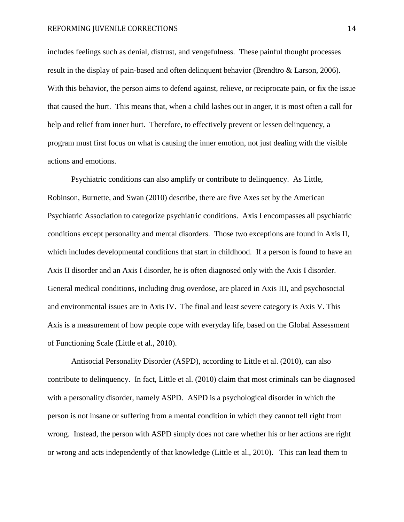includes feelings such as denial, distrust, and vengefulness. These painful thought processes result in the display of pain-based and often delinquent behavior (Brendtro & Larson, 2006). With this behavior, the person aims to defend against, relieve, or reciprocate pain, or fix the issue that caused the hurt. This means that, when a child lashes out in anger, it is most often a call for help and relief from inner hurt. Therefore, to effectively prevent or lessen delinquency, a program must first focus on what is causing the inner emotion, not just dealing with the visible actions and emotions.

Psychiatric conditions can also amplify or contribute to delinquency. As Little, Robinson, Burnette, and Swan (2010) describe, there are five Axes set by the American Psychiatric Association to categorize psychiatric conditions. Axis I encompasses all psychiatric conditions except personality and mental disorders. Those two exceptions are found in Axis II, which includes developmental conditions that start in childhood. If a person is found to have an Axis II disorder and an Axis I disorder, he is often diagnosed only with the Axis I disorder. General medical conditions, including drug overdose, are placed in Axis III, and psychosocial and environmental issues are in Axis IV. The final and least severe category is Axis V. This Axis is a measurement of how people cope with everyday life, based on the Global Assessment of Functioning Scale (Little et al., 2010).

Antisocial Personality Disorder (ASPD), according to Little et al. (2010), can also contribute to delinquency. In fact, Little et al. (2010) claim that most criminals can be diagnosed with a personality disorder, namely ASPD. ASPD is a psychological disorder in which the person is not insane or suffering from a mental condition in which they cannot tell right from wrong. Instead, the person with ASPD simply does not care whether his or her actions are right or wrong and acts independently of that knowledge (Little et al., 2010). This can lead them to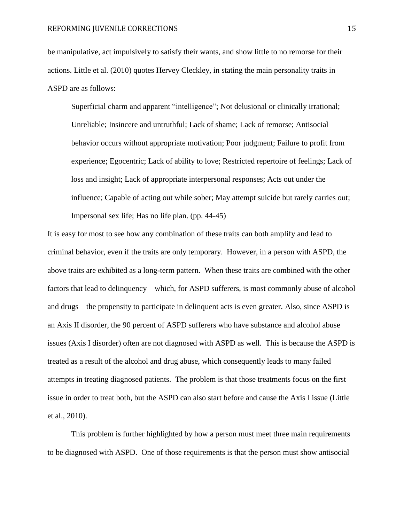be manipulative, act impulsively to satisfy their wants, and show little to no remorse for their actions. Little et al. (2010) quotes Hervey Cleckley, in stating the main personality traits in ASPD are as follows:

Superficial charm and apparent "intelligence"; Not delusional or clinically irrational; Unreliable; Insincere and untruthful; Lack of shame; Lack of remorse; Antisocial behavior occurs without appropriate motivation; Poor judgment; Failure to profit from experience; Egocentric; Lack of ability to love; Restricted repertoire of feelings; Lack of loss and insight; Lack of appropriate interpersonal responses; Acts out under the influence; Capable of acting out while sober; May attempt suicide but rarely carries out; Impersonal sex life; Has no life plan. (pp. 44-45)

It is easy for most to see how any combination of these traits can both amplify and lead to criminal behavior, even if the traits are only temporary. However, in a person with ASPD, the above traits are exhibited as a long-term pattern. When these traits are combined with the other factors that lead to delinquency—which, for ASPD sufferers, is most commonly abuse of alcohol and drugs—the propensity to participate in delinquent acts is even greater. Also, since ASPD is an Axis II disorder, the 90 percent of ASPD sufferers who have substance and alcohol abuse issues (Axis I disorder) often are not diagnosed with ASPD as well. This is because the ASPD is treated as a result of the alcohol and drug abuse, which consequently leads to many failed attempts in treating diagnosed patients. The problem is that those treatments focus on the first issue in order to treat both, but the ASPD can also start before and cause the Axis I issue (Little et al., 2010).

This problem is further highlighted by how a person must meet three main requirements to be diagnosed with ASPD. One of those requirements is that the person must show antisocial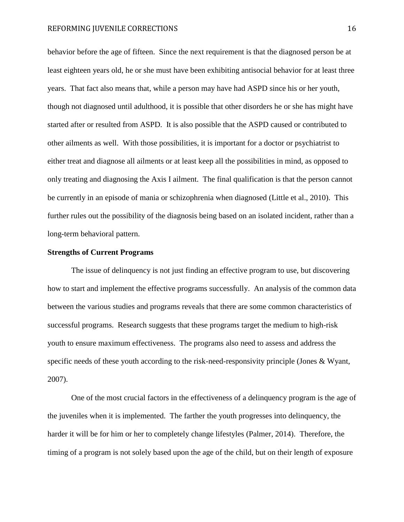behavior before the age of fifteen. Since the next requirement is that the diagnosed person be at least eighteen years old, he or she must have been exhibiting antisocial behavior for at least three years. That fact also means that, while a person may have had ASPD since his or her youth, though not diagnosed until adulthood, it is possible that other disorders he or she has might have started after or resulted from ASPD. It is also possible that the ASPD caused or contributed to other ailments as well. With those possibilities, it is important for a doctor or psychiatrist to either treat and diagnose all ailments or at least keep all the possibilities in mind, as opposed to only treating and diagnosing the Axis I ailment. The final qualification is that the person cannot be currently in an episode of mania or schizophrenia when diagnosed (Little et al., 2010). This further rules out the possibility of the diagnosis being based on an isolated incident, rather than a long-term behavioral pattern.

#### **Strengths of Current Programs**

The issue of delinquency is not just finding an effective program to use, but discovering how to start and implement the effective programs successfully. An analysis of the common data between the various studies and programs reveals that there are some common characteristics of successful programs. Research suggests that these programs target the medium to high-risk youth to ensure maximum effectiveness. The programs also need to assess and address the specific needs of these youth according to the risk-need-responsivity principle (Jones & Wyant, 2007).

One of the most crucial factors in the effectiveness of a delinquency program is the age of the juveniles when it is implemented. The farther the youth progresses into delinquency, the harder it will be for him or her to completely change lifestyles (Palmer, 2014). Therefore, the timing of a program is not solely based upon the age of the child, but on their length of exposure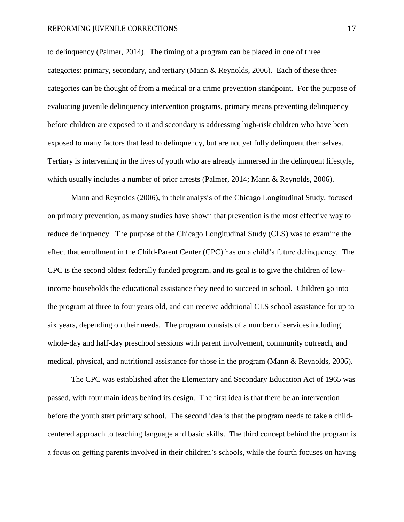to delinquency (Palmer, 2014). The timing of a program can be placed in one of three categories: primary, secondary, and tertiary (Mann & Reynolds, 2006). Each of these three categories can be thought of from a medical or a crime prevention standpoint. For the purpose of evaluating juvenile delinquency intervention programs, primary means preventing delinquency before children are exposed to it and secondary is addressing high-risk children who have been exposed to many factors that lead to delinquency, but are not yet fully delinquent themselves. Tertiary is intervening in the lives of youth who are already immersed in the delinquent lifestyle, which usually includes a number of prior arrests (Palmer, 2014; Mann & Reynolds, 2006).

Mann and Reynolds (2006), in their analysis of the Chicago Longitudinal Study, focused on primary prevention, as many studies have shown that prevention is the most effective way to reduce delinquency. The purpose of the Chicago Longitudinal Study (CLS) was to examine the effect that enrollment in the Child-Parent Center (CPC) has on a child's future delinquency. The CPC is the second oldest federally funded program, and its goal is to give the children of lowincome households the educational assistance they need to succeed in school. Children go into the program at three to four years old, and can receive additional CLS school assistance for up to six years, depending on their needs. The program consists of a number of services including whole-day and half-day preschool sessions with parent involvement, community outreach, and medical, physical, and nutritional assistance for those in the program (Mann & Reynolds, 2006).

The CPC was established after the Elementary and Secondary Education Act of 1965 was passed, with four main ideas behind its design. The first idea is that there be an intervention before the youth start primary school. The second idea is that the program needs to take a childcentered approach to teaching language and basic skills. The third concept behind the program is a focus on getting parents involved in their children's schools, while the fourth focuses on having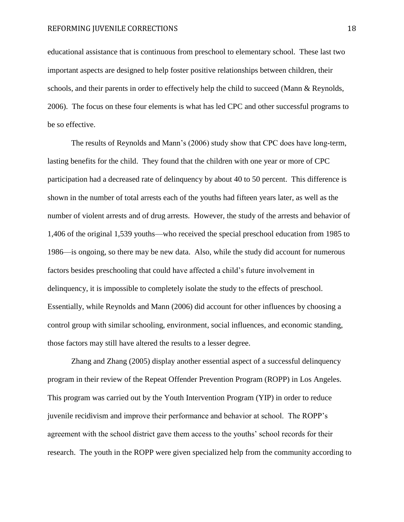educational assistance that is continuous from preschool to elementary school. These last two important aspects are designed to help foster positive relationships between children, their schools, and their parents in order to effectively help the child to succeed (Mann & Reynolds, 2006). The focus on these four elements is what has led CPC and other successful programs to be so effective.

The results of Reynolds and Mann's (2006) study show that CPC does have long-term, lasting benefits for the child. They found that the children with one year or more of CPC participation had a decreased rate of delinquency by about 40 to 50 percent. This difference is shown in the number of total arrests each of the youths had fifteen years later, as well as the number of violent arrests and of drug arrests. However, the study of the arrests and behavior of 1,406 of the original 1,539 youths—who received the special preschool education from 1985 to 1986—is ongoing, so there may be new data. Also, while the study did account for numerous factors besides preschooling that could have affected a child's future involvement in delinquency, it is impossible to completely isolate the study to the effects of preschool. Essentially, while Reynolds and Mann (2006) did account for other influences by choosing a control group with similar schooling, environment, social influences, and economic standing, those factors may still have altered the results to a lesser degree.

Zhang and Zhang (2005) display another essential aspect of a successful delinquency program in their review of the Repeat Offender Prevention Program (ROPP) in Los Angeles. This program was carried out by the Youth Intervention Program (YIP) in order to reduce juvenile recidivism and improve their performance and behavior at school. The ROPP's agreement with the school district gave them access to the youths' school records for their research. The youth in the ROPP were given specialized help from the community according to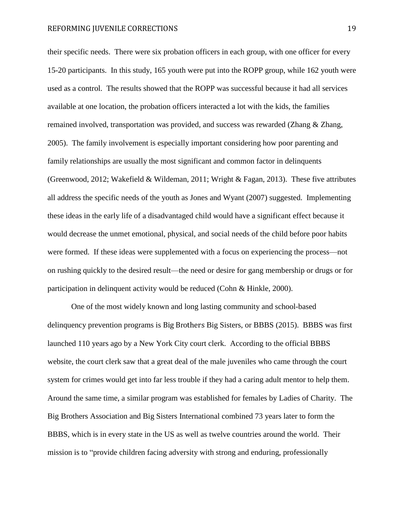their specific needs. There were six probation officers in each group, with one officer for every 15-20 participants. In this study, 165 youth were put into the ROPP group, while 162 youth were used as a control. The results showed that the ROPP was successful because it had all services available at one location, the probation officers interacted a lot with the kids, the families remained involved, transportation was provided, and success was rewarded (Zhang & Zhang, 2005). The family involvement is especially important considering how poor parenting and family relationships are usually the most significant and common factor in delinquents (Greenwood, 2012; Wakefield & Wildeman, 2011; Wright & Fagan, 2013). These five attributes all address the specific needs of the youth as Jones and Wyant (2007) suggested. Implementing these ideas in the early life of a disadvantaged child would have a significant effect because it would decrease the unmet emotional, physical, and social needs of the child before poor habits were formed. If these ideas were supplemented with a focus on experiencing the process—not on rushing quickly to the desired result—the need or desire for gang membership or drugs or for participation in delinquent activity would be reduced (Cohn & Hinkle, 2000).

One of the most widely known and long lasting community and school-based delinquency prevention programs is Big Brothers Big Sisters, or BBBS (2015). BBBS was first launched 110 years ago by a New York City court clerk. According to the official BBBS website, the court clerk saw that a great deal of the male juveniles who came through the court system for crimes would get into far less trouble if they had a caring adult mentor to help them. Around the same time, a similar program was established for females by Ladies of Charity. The Big Brothers Association and Big Sisters International combined 73 years later to form the BBBS, which is in every state in the US as well as twelve countries around the world. Their mission is to "provide children facing adversity with strong and enduring, professionally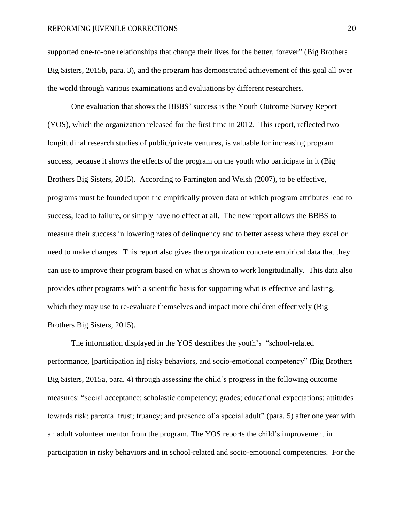supported one-to-one relationships that change their lives for the better, forever" (Big Brothers Big Sisters, 2015b, para. 3), and the program has demonstrated achievement of this goal all over the world through various examinations and evaluations by different researchers.

One evaluation that shows the BBBS' success is the Youth Outcome Survey Report (YOS), which the organization released for the first time in 2012. This report, reflected two longitudinal research studies of public/private ventures, is valuable for increasing program success, because it shows the effects of the program on the youth who participate in it (Big Brothers Big Sisters, 2015). According to Farrington and Welsh (2007), to be effective, programs must be founded upon the empirically proven data of which program attributes lead to success, lead to failure, or simply have no effect at all. The new report allows the BBBS to measure their success in lowering rates of delinquency and to better assess where they excel or need to make changes. This report also gives the organization concrete empirical data that they can use to improve their program based on what is shown to work longitudinally. This data also provides other programs with a scientific basis for supporting what is effective and lasting, which they may use to re-evaluate themselves and impact more children effectively (Big Brothers Big Sisters, 2015).

The information displayed in the YOS describes the youth's "school-related performance, [participation in] risky behaviors, and socio-emotional competency" (Big Brothers Big Sisters, 2015a, para. 4) through assessing the child's progress in the following outcome measures: "social acceptance; scholastic competency; grades; educational expectations; attitudes towards risk; parental trust; truancy; and presence of a special adult" (para. 5) after one year with an adult volunteer mentor from the program. The YOS reports the child's improvement in participation in risky behaviors and in school-related and socio-emotional competencies. For the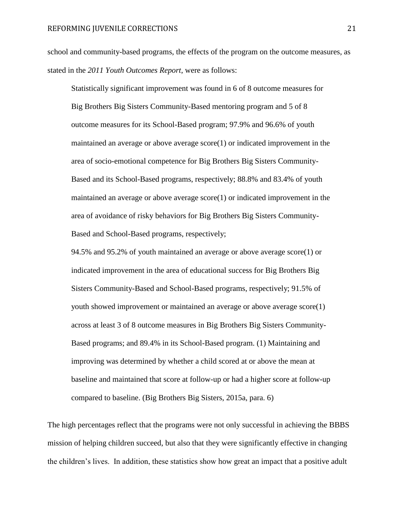school and community-based programs, the effects of the program on the outcome measures, as stated in the *2011 Youth Outcomes Report*, were as follows:

Statistically significant improvement was found in 6 of 8 outcome measures for Big Brothers Big Sisters Community-Based mentoring program and 5 of 8 outcome measures for its School-Based program; 97.9% and 96.6% of youth maintained an average or above average score(1) or indicated improvement in the area of socio-emotional competence for Big Brothers Big Sisters Community-Based and its School-Based programs, respectively; 88.8% and 83.4% of youth maintained an average or above average score(1) or indicated improvement in the area of avoidance of risky behaviors for Big Brothers Big Sisters Community-Based and School-Based programs, respectively;

94.5% and 95.2% of youth maintained an average or above average score(1) or indicated improvement in the area of educational success for Big Brothers Big Sisters Community-Based and School-Based programs, respectively; 91.5% of youth showed improvement or maintained an average or above average score(1) across at least 3 of 8 outcome measures in Big Brothers Big Sisters Community-Based programs; and 89.4% in its School-Based program. (1) Maintaining and improving was determined by whether a child scored at or above the mean at baseline and maintained that score at follow-up or had a higher score at follow-up compared to baseline. (Big Brothers Big Sisters, 2015a, para. 6)

The high percentages reflect that the programs were not only successful in achieving the BBBS mission of helping children succeed, but also that they were significantly effective in changing the children's lives. In addition, these statistics show how great an impact that a positive adult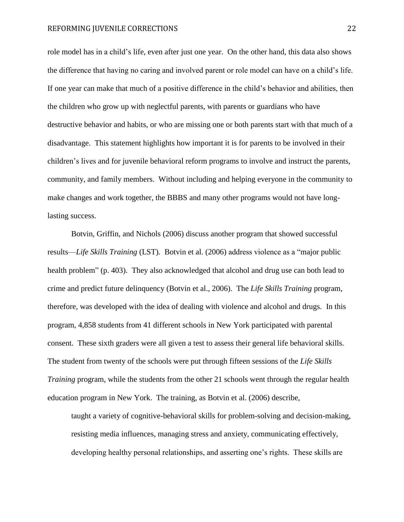role model has in a child's life, even after just one year. On the other hand, this data also shows the difference that having no caring and involved parent or role model can have on a child's life. If one year can make that much of a positive difference in the child's behavior and abilities, then the children who grow up with neglectful parents, with parents or guardians who have destructive behavior and habits, or who are missing one or both parents start with that much of a disadvantage. This statement highlights how important it is for parents to be involved in their children's lives and for juvenile behavioral reform programs to involve and instruct the parents, community, and family members. Without including and helping everyone in the community to make changes and work together, the BBBS and many other programs would not have longlasting success.

Botvin, Griffin, and Nichols (2006) discuss another program that showed successful results—*Life Skills Training* (LST)*.* Botvin et al. (2006) address violence as a "major public health problem" (p. 403). They also acknowledged that alcohol and drug use can both lead to crime and predict future delinquency (Botvin et al., 2006). The *Life Skills Training* program, therefore, was developed with the idea of dealing with violence and alcohol and drugs. In this program, 4,858 students from 41 different schools in New York participated with parental consent. These sixth graders were all given a test to assess their general life behavioral skills. The student from twenty of the schools were put through fifteen sessions of the *Life Skills Training* program, while the students from the other 21 schools went through the regular health education program in New York. The training, as Botvin et al. (2006) describe,

taught a variety of cognitive-behavioral skills for problem-solving and decision-making, resisting media influences, managing stress and anxiety, communicating effectively, developing healthy personal relationships, and asserting one's rights. These skills are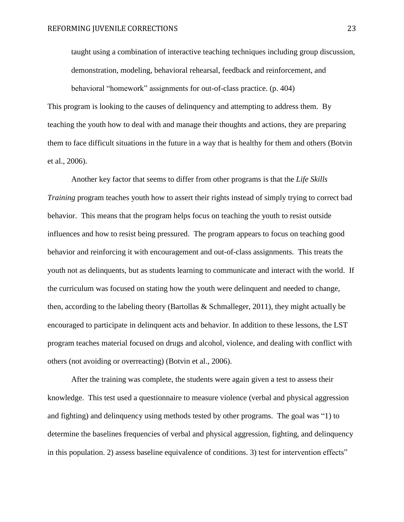taught using a combination of interactive teaching techniques including group discussion, demonstration, modeling, behavioral rehearsal, feedback and reinforcement, and

behavioral "homework" assignments for out-of-class practice. (p. 404) This program is looking to the causes of delinquency and attempting to address them. By teaching the youth how to deal with and manage their thoughts and actions, they are preparing them to face difficult situations in the future in a way that is healthy for them and others (Botvin et al., 2006).

Another key factor that seems to differ from other programs is that the *Life Skills Training* program teaches youth how to assert their rights instead of simply trying to correct bad behavior. This means that the program helps focus on teaching the youth to resist outside influences and how to resist being pressured. The program appears to focus on teaching good behavior and reinforcing it with encouragement and out-of-class assignments. This treats the youth not as delinquents, but as students learning to communicate and interact with the world. If the curriculum was focused on stating how the youth were delinquent and needed to change, then, according to the labeling theory (Bartollas & Schmalleger, 2011), they might actually be encouraged to participate in delinquent acts and behavior. In addition to these lessons, the LST program teaches material focused on drugs and alcohol, violence, and dealing with conflict with others (not avoiding or overreacting) (Botvin et al., 2006).

After the training was complete, the students were again given a test to assess their knowledge. This test used a questionnaire to measure violence (verbal and physical aggression and fighting) and delinquency using methods tested by other programs. The goal was "1) to determine the baselines frequencies of verbal and physical aggression, fighting, and delinquency in this population. 2) assess baseline equivalence of conditions. 3) test for intervention effects"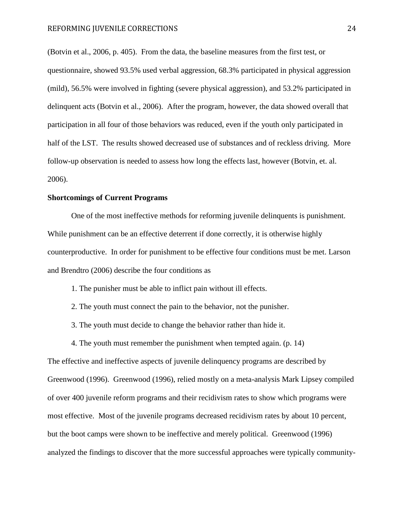(Botvin et al., 2006, p. 405). From the data, the baseline measures from the first test, or questionnaire, showed 93.5% used verbal aggression, 68.3% participated in physical aggression (mild), 56.5% were involved in fighting (severe physical aggression), and 53.2% participated in delinquent acts (Botvin et al., 2006). After the program, however, the data showed overall that participation in all four of those behaviors was reduced, even if the youth only participated in half of the LST. The results showed decreased use of substances and of reckless driving. More follow-up observation is needed to assess how long the effects last, however (Botvin, et. al. 2006).

#### **Shortcomings of Current Programs**

One of the most ineffective methods for reforming juvenile delinquents is punishment. While punishment can be an effective deterrent if done correctly, it is otherwise highly counterproductive. In order for punishment to be effective four conditions must be met. Larson and Brendtro (2006) describe the four conditions as

- 1. The punisher must be able to inflict pain without ill effects.
- 2. The youth must connect the pain to the behavior, not the punisher.
- 3. The youth must decide to change the behavior rather than hide it.
- 4. The youth must remember the punishment when tempted again. (p. 14)

The effective and ineffective aspects of juvenile delinquency programs are described by Greenwood (1996). Greenwood (1996), relied mostly on a meta-analysis Mark Lipsey compiled of over 400 juvenile reform programs and their recidivism rates to show which programs were most effective. Most of the juvenile programs decreased recidivism rates by about 10 percent, but the boot camps were shown to be ineffective and merely political. Greenwood (1996) analyzed the findings to discover that the more successful approaches were typically community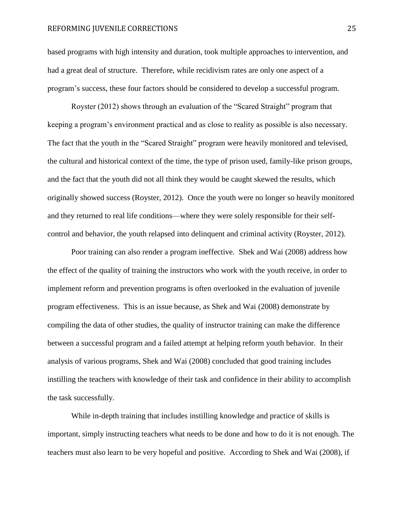based programs with high intensity and duration, took multiple approaches to intervention, and had a great deal of structure. Therefore, while recidivism rates are only one aspect of a program's success, these four factors should be considered to develop a successful program.

Royster (2012) shows through an evaluation of the "Scared Straight" program that keeping a program's environment practical and as close to reality as possible is also necessary. The fact that the youth in the "Scared Straight" program were heavily monitored and televised, the cultural and historical context of the time, the type of prison used, family-like prison groups, and the fact that the youth did not all think they would be caught skewed the results, which originally showed success (Royster, 2012). Once the youth were no longer so heavily monitored and they returned to real life conditions—where they were solely responsible for their selfcontrol and behavior, the youth relapsed into delinquent and criminal activity (Royster, 2012).

Poor training can also render a program ineffective. Shek and Wai (2008) address how the effect of the quality of training the instructors who work with the youth receive, in order to implement reform and prevention programs is often overlooked in the evaluation of juvenile program effectiveness. This is an issue because, as Shek and Wai (2008) demonstrate by compiling the data of other studies, the quality of instructor training can make the difference between a successful program and a failed attempt at helping reform youth behavior. In their analysis of various programs, Shek and Wai (2008) concluded that good training includes instilling the teachers with knowledge of their task and confidence in their ability to accomplish the task successfully.

While in-depth training that includes instilling knowledge and practice of skills is important, simply instructing teachers what needs to be done and how to do it is not enough. The teachers must also learn to be very hopeful and positive. According to Shek and Wai (2008), if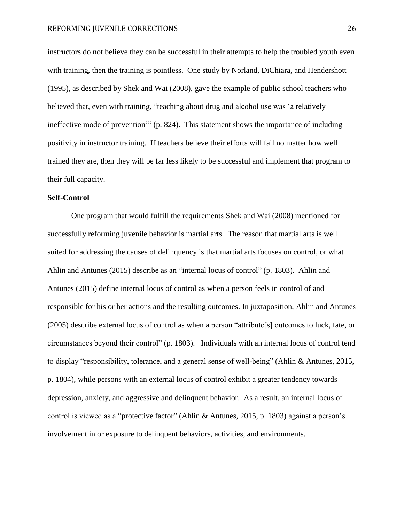instructors do not believe they can be successful in their attempts to help the troubled youth even with training, then the training is pointless. One study by Norland, DiChiara, and Hendershott (1995), as described by Shek and Wai (2008), gave the example of public school teachers who believed that, even with training, "teaching about drug and alcohol use was 'a relatively ineffective mode of prevention'" (p. 824). This statement shows the importance of including positivity in instructor training. If teachers believe their efforts will fail no matter how well trained they are, then they will be far less likely to be successful and implement that program to their full capacity.

#### **Self-Control**

One program that would fulfill the requirements Shek and Wai (2008) mentioned for successfully reforming juvenile behavior is martial arts. The reason that martial arts is well suited for addressing the causes of delinquency is that martial arts focuses on control, or what Ahlin and Antunes (2015) describe as an "internal locus of control" (p. 1803). Ahlin and Antunes (2015) define internal locus of control as when a person feels in control of and responsible for his or her actions and the resulting outcomes. In juxtaposition, Ahlin and Antunes (2005) describe external locus of control as when a person "attribute[s] outcomes to luck, fate, or circumstances beyond their control" (p. 1803). Individuals with an internal locus of control tend to display "responsibility, tolerance, and a general sense of well-being" (Ahlin & Antunes, 2015, p. 1804), while persons with an external locus of control exhibit a greater tendency towards depression, anxiety, and aggressive and delinquent behavior. As a result, an internal locus of control is viewed as a "protective factor" (Ahlin & Antunes, 2015, p. 1803) against a person's involvement in or exposure to delinquent behaviors, activities, and environments.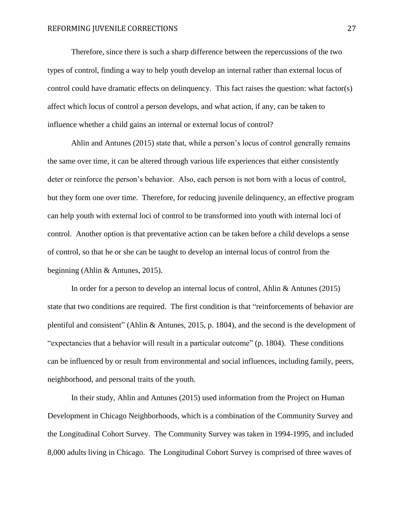Therefore, since there is such a sharp difference between the repercussions of the two types of control, finding a way to help youth develop an internal rather than external locus of control could have dramatic effects on delinquency. This fact raises the question: what factor(s) affect which locus of control a person develops, and what action, if any, can be taken to influence whether a child gains an internal or external locus of control?

Ahlin and Antunes (2015) state that, while a person's locus of control generally remains the same over time, it can be altered through various life experiences that either consistently deter or reinforce the person's behavior. Also, each person is not born with a locus of control, but they form one over time. Therefore, for reducing juvenile delinquency, an effective program can help youth with external loci of control to be transformed into youth with internal loci of control. Another option is that preventative action can be taken before a child develops a sense of control, so that he or she can be taught to develop an internal locus of control from the beginning (Ahlin & Antunes, 2015).

In order for a person to develop an internal locus of control, Ahlin & Antunes (2015) state that two conditions are required. The first condition is that "reinforcements of behavior are plentiful and consistent" (Ahlin & Antunes, 2015, p. 1804), and the second is the development of "expectancies that a behavior will result in a particular outcome" (p. 1804). These conditions can be influenced by or result from environmental and social influences, including family, peers, neighborhood, and personal traits of the youth.

In their study, Ahlin and Antunes (2015) used information from the Project on Human Development in Chicago Neighborhoods, which is a combination of the Community Survey and the Longitudinal Cohort Survey. The Community Survey was taken in 1994-1995, and included 8,000 adults living in Chicago. The Longitudinal Cohort Survey is comprised of three waves of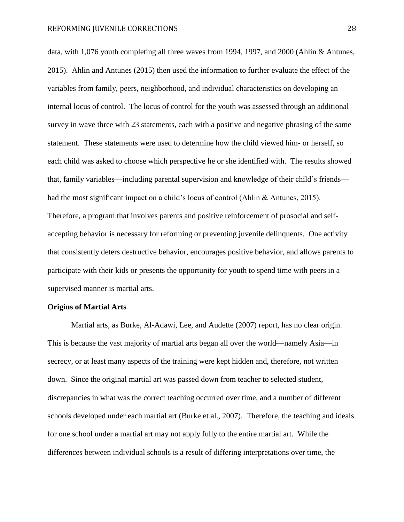data, with 1,076 youth completing all three waves from 1994, 1997, and 2000 (Ahlin & Antunes, 2015). Ahlin and Antunes (2015) then used the information to further evaluate the effect of the variables from family, peers, neighborhood, and individual characteristics on developing an internal locus of control. The locus of control for the youth was assessed through an additional survey in wave three with 23 statements, each with a positive and negative phrasing of the same statement. These statements were used to determine how the child viewed him- or herself, so each child was asked to choose which perspective he or she identified with. The results showed that, family variables—including parental supervision and knowledge of their child's friends had the most significant impact on a child's locus of control (Ahlin & Antunes, 2015). Therefore, a program that involves parents and positive reinforcement of prosocial and selfaccepting behavior is necessary for reforming or preventing juvenile delinquents. One activity that consistently deters destructive behavior, encourages positive behavior, and allows parents to participate with their kids or presents the opportunity for youth to spend time with peers in a supervised manner is martial arts.

#### **Origins of Martial Arts**

Martial arts, as Burke, Al-Adawi, Lee, and Audette (2007) report, has no clear origin. This is because the vast majority of martial arts began all over the world—namely Asia—in secrecy, or at least many aspects of the training were kept hidden and, therefore, not written down. Since the original martial art was passed down from teacher to selected student, discrepancies in what was the correct teaching occurred over time, and a number of different schools developed under each martial art (Burke et al., 2007). Therefore, the teaching and ideals for one school under a martial art may not apply fully to the entire martial art. While the differences between individual schools is a result of differing interpretations over time, the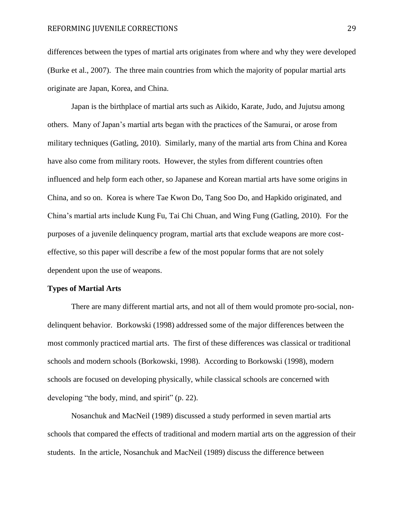differences between the types of martial arts originates from where and why they were developed (Burke et al., 2007). The three main countries from which the majority of popular martial arts originate are Japan, Korea, and China.

Japan is the birthplace of martial arts such as Aikido, Karate, Judo, and Jujutsu among others. Many of Japan's martial arts began with the practices of the Samurai, or arose from military techniques (Gatling, 2010). Similarly, many of the martial arts from China and Korea have also come from military roots. However, the styles from different countries often influenced and help form each other, so Japanese and Korean martial arts have some origins in China, and so on. Korea is where Tae Kwon Do, Tang Soo Do, and Hapkido originated, and China's martial arts include Kung Fu, Tai Chi Chuan, and Wing Fung (Gatling, 2010). For the purposes of a juvenile delinquency program, martial arts that exclude weapons are more costeffective, so this paper will describe a few of the most popular forms that are not solely dependent upon the use of weapons.

#### **Types of Martial Arts**

There are many different martial arts, and not all of them would promote pro-social, nondelinquent behavior. Borkowski (1998) addressed some of the major differences between the most commonly practiced martial arts. The first of these differences was classical or traditional schools and modern schools (Borkowski, 1998). According to Borkowski (1998), modern schools are focused on developing physically, while classical schools are concerned with developing "the body, mind, and spirit" (p. 22).

Nosanchuk and MacNeil (1989) discussed a study performed in seven martial arts schools that compared the effects of traditional and modern martial arts on the aggression of their students. In the article, Nosanchuk and MacNeil (1989) discuss the difference between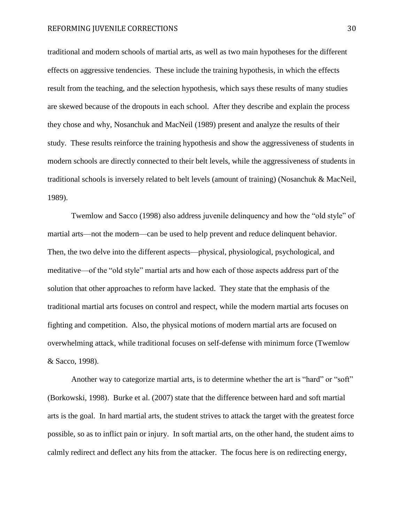traditional and modern schools of martial arts, as well as two main hypotheses for the different effects on aggressive tendencies. These include the training hypothesis, in which the effects result from the teaching, and the selection hypothesis, which says these results of many studies are skewed because of the dropouts in each school. After they describe and explain the process they chose and why, Nosanchuk and MacNeil (1989) present and analyze the results of their study. These results reinforce the training hypothesis and show the aggressiveness of students in modern schools are directly connected to their belt levels, while the aggressiveness of students in traditional schools is inversely related to belt levels (amount of training) (Nosanchuk & MacNeil, 1989).

Twemlow and Sacco (1998) also address juvenile delinquency and how the "old style" of martial arts—not the modern—can be used to help prevent and reduce delinquent behavior. Then, the two delve into the different aspects—physical, physiological, psychological, and meditative—of the "old style" martial arts and how each of those aspects address part of the solution that other approaches to reform have lacked. They state that the emphasis of the traditional martial arts focuses on control and respect, while the modern martial arts focuses on fighting and competition. Also, the physical motions of modern martial arts are focused on overwhelming attack, while traditional focuses on self-defense with minimum force (Twemlow & Sacco, 1998).

Another way to categorize martial arts, is to determine whether the art is "hard" or "soft" (Borkowski, 1998). Burke et al. (2007) state that the difference between hard and soft martial arts is the goal. In hard martial arts, the student strives to attack the target with the greatest force possible, so as to inflict pain or injury. In soft martial arts, on the other hand, the student aims to calmly redirect and deflect any hits from the attacker. The focus here is on redirecting energy,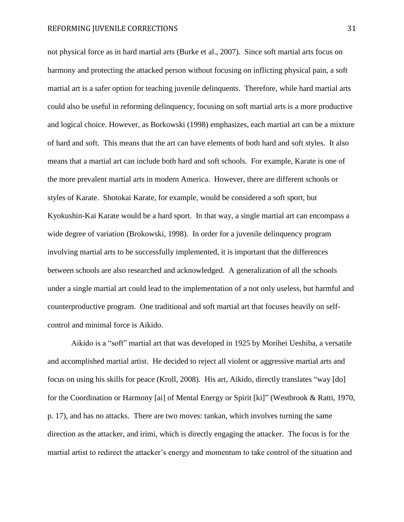not physical force as in hard martial arts (Burke et al., 2007). Since soft martial arts focus on harmony and protecting the attacked person without focusing on inflicting physical pain, a soft martial art is a safer option for teaching juvenile delinquents. Therefore, while hard martial arts could also be useful in reforming delinquency, focusing on soft martial arts is a more productive and logical choice. However, as Borkowski (1998) emphasizes, each martial art can be a mixture of hard and soft. This means that the art can have elements of both hard and soft styles. It also means that a martial art can include both hard and soft schools. For example, Karate is one of the more prevalent martial arts in modern America. However, there are different schools or styles of Karate. Shotokai Karate, for example, would be considered a soft sport, but Kyokushin-Kai Karate would be a hard sport. In that way, a single martial art can encompass a wide degree of variation (Brokowski, 1998). In order for a juvenile delinquency program involving martial arts to be successfully implemented, it is important that the differences between schools are also researched and acknowledged. A generalization of all the schools under a single martial art could lead to the implementation of a not only useless, but harmful and counterproductive program. One traditional and soft martial art that focuses heavily on selfcontrol and minimal force is Aikido.

Aikido is a "soft" martial art that was developed in 1925 by Morihei Ueshiba, a versatile and accomplished martial artist. He decided to reject all violent or aggressive martial arts and focus on using his skills for peace (Kroll, 2008). His art, Aikido, directly translates "way [do] for the Coordination or Harmony [ai] of Mental Energy or Spirit [ki]" (Westbrook & Ratti, 1970, p. 17), and has no attacks. There are two moves: tankan, which involves turning the same direction as the attacker, and irimi, which is directly engaging the attacker. The focus is for the martial artist to redirect the attacker's energy and momentum to take control of the situation and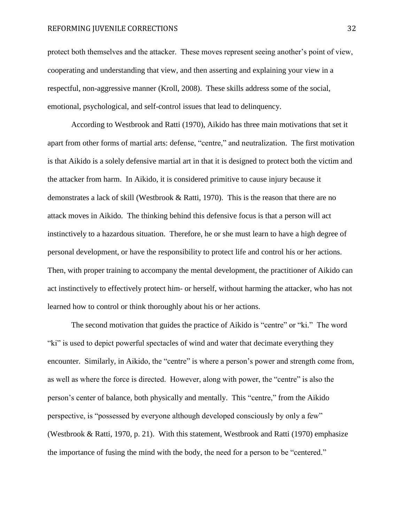protect both themselves and the attacker. These moves represent seeing another's point of view, cooperating and understanding that view, and then asserting and explaining your view in a respectful, non-aggressive manner (Kroll, 2008). These skills address some of the social, emotional, psychological, and self-control issues that lead to delinquency.

According to Westbrook and Ratti (1970), Aikido has three main motivations that set it apart from other forms of martial arts: defense, "centre," and neutralization. The first motivation is that Aikido is a solely defensive martial art in that it is designed to protect both the victim and the attacker from harm. In Aikido, it is considered primitive to cause injury because it demonstrates a lack of skill (Westbrook & Ratti, 1970). This is the reason that there are no attack moves in Aikido. The thinking behind this defensive focus is that a person will act instinctively to a hazardous situation. Therefore, he or she must learn to have a high degree of personal development, or have the responsibility to protect life and control his or her actions. Then, with proper training to accompany the mental development, the practitioner of Aikido can act instinctively to effectively protect him- or herself, without harming the attacker, who has not learned how to control or think thoroughly about his or her actions.

The second motivation that guides the practice of Aikido is "centre" or "ki." The word "ki" is used to depict powerful spectacles of wind and water that decimate everything they encounter. Similarly, in Aikido, the "centre" is where a person's power and strength come from, as well as where the force is directed. However, along with power, the "centre" is also the person's center of balance, both physically and mentally. This "centre," from the Aikido perspective, is "possessed by everyone although developed consciously by only a few" (Westbrook & Ratti, 1970, p. 21). With this statement, Westbrook and Ratti (1970) emphasize the importance of fusing the mind with the body, the need for a person to be "centered."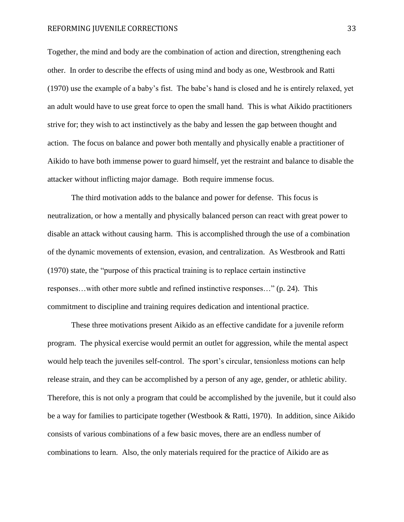Together, the mind and body are the combination of action and direction, strengthening each other. In order to describe the effects of using mind and body as one, Westbrook and Ratti (1970) use the example of a baby's fist. The babe's hand is closed and he is entirely relaxed, yet an adult would have to use great force to open the small hand. This is what Aikido practitioners strive for; they wish to act instinctively as the baby and lessen the gap between thought and action. The focus on balance and power both mentally and physically enable a practitioner of Aikido to have both immense power to guard himself, yet the restraint and balance to disable the attacker without inflicting major damage. Both require immense focus.

The third motivation adds to the balance and power for defense. This focus is neutralization, or how a mentally and physically balanced person can react with great power to disable an attack without causing harm. This is accomplished through the use of a combination of the dynamic movements of extension, evasion, and centralization. As Westbrook and Ratti (1970) state, the "purpose of this practical training is to replace certain instinctive responses…with other more subtle and refined instinctive responses…" (p. 24). This commitment to discipline and training requires dedication and intentional practice.

These three motivations present Aikido as an effective candidate for a juvenile reform program. The physical exercise would permit an outlet for aggression, while the mental aspect would help teach the juveniles self-control. The sport's circular, tensionless motions can help release strain, and they can be accomplished by a person of any age, gender, or athletic ability. Therefore, this is not only a program that could be accomplished by the juvenile, but it could also be a way for families to participate together (Westbook & Ratti, 1970). In addition, since Aikido consists of various combinations of a few basic moves, there are an endless number of combinations to learn. Also, the only materials required for the practice of Aikido are as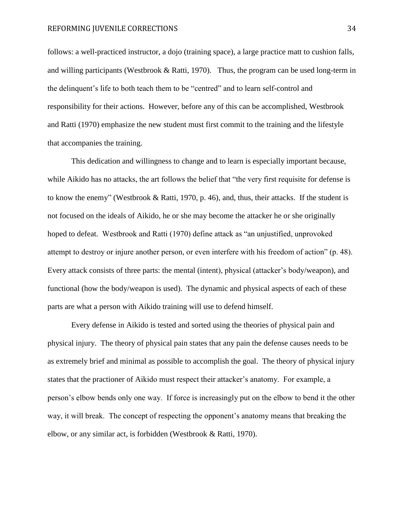follows: a well-practiced instructor, a dojo (training space), a large practice matt to cushion falls, and willing participants (Westbrook & Ratti, 1970). Thus, the program can be used long-term in the delinquent's life to both teach them to be "centred" and to learn self-control and responsibility for their actions. However, before any of this can be accomplished, Westbrook and Ratti (1970) emphasize the new student must first commit to the training and the lifestyle that accompanies the training.

This dedication and willingness to change and to learn is especially important because, while Aikido has no attacks, the art follows the belief that "the very first requisite for defense is to know the enemy" (Westbrook & Ratti, 1970, p. 46), and, thus, their attacks. If the student is not focused on the ideals of Aikido, he or she may become the attacker he or she originally hoped to defeat. Westbrook and Ratti (1970) define attack as "an unjustified, unprovoked attempt to destroy or injure another person, or even interfere with his freedom of action" (p. 48). Every attack consists of three parts: the mental (intent), physical (attacker's body/weapon), and functional (how the body/weapon is used). The dynamic and physical aspects of each of these parts are what a person with Aikido training will use to defend himself.

Every defense in Aikido is tested and sorted using the theories of physical pain and physical injury. The theory of physical pain states that any pain the defense causes needs to be as extremely brief and minimal as possible to accomplish the goal. The theory of physical injury states that the practioner of Aikido must respect their attacker's anatomy. For example, a person's elbow bends only one way. If force is increasingly put on the elbow to bend it the other way, it will break. The concept of respecting the opponent's anatomy means that breaking the elbow, or any similar act, is forbidden (Westbrook & Ratti, 1970).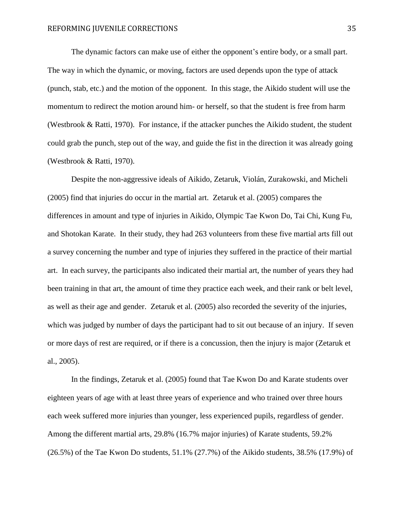The dynamic factors can make use of either the opponent's entire body, or a small part. The way in which the dynamic, or moving, factors are used depends upon the type of attack (punch, stab, etc.) and the motion of the opponent. In this stage, the Aikido student will use the momentum to redirect the motion around him- or herself, so that the student is free from harm (Westbrook & Ratti, 1970). For instance, if the attacker punches the Aikido student, the student could grab the punch, step out of the way, and guide the fist in the direction it was already going (Westbrook & Ratti, 1970).

Despite the non-aggressive ideals of Aikido, Zetaruk, Violán, Zurakowski, and Micheli (2005) find that injuries do occur in the martial art. Zetaruk et al. (2005) compares the differences in amount and type of injuries in Aikido, Olympic Tae Kwon Do, Tai Chi, Kung Fu, and Shotokan Karate. In their study, they had 263 volunteers from these five martial arts fill out a survey concerning the number and type of injuries they suffered in the practice of their martial art. In each survey, the participants also indicated their martial art, the number of years they had been training in that art, the amount of time they practice each week, and their rank or belt level, as well as their age and gender. Zetaruk et al. (2005) also recorded the severity of the injuries, which was judged by number of days the participant had to sit out because of an injury. If seven or more days of rest are required, or if there is a concussion, then the injury is major (Zetaruk et al., 2005).

In the findings, Zetaruk et al. (2005) found that Tae Kwon Do and Karate students over eighteen years of age with at least three years of experience and who trained over three hours each week suffered more injuries than younger, less experienced pupils, regardless of gender. Among the different martial arts, 29.8% (16.7% major injuries) of Karate students, 59.2% (26.5%) of the Tae Kwon Do students, 51.1% (27.7%) of the Aikido students, 38.5% (17.9%) of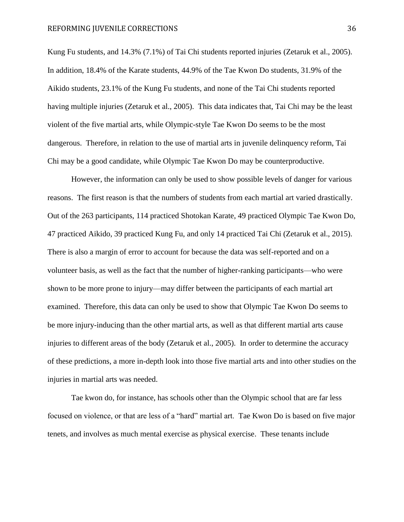Kung Fu students, and 14.3% (7.1%) of Tai Chi students reported injuries (Zetaruk et al., 2005). In addition, 18.4% of the Karate students, 44.9% of the Tae Kwon Do students, 31.9% of the Aikido students, 23.1% of the Kung Fu students, and none of the Tai Chi students reported having multiple injuries (Zetaruk et al., 2005). This data indicates that, Tai Chi may be the least violent of the five martial arts, while Olympic-style Tae Kwon Do seems to be the most dangerous. Therefore, in relation to the use of martial arts in juvenile delinquency reform, Tai Chi may be a good candidate, while Olympic Tae Kwon Do may be counterproductive.

However, the information can only be used to show possible levels of danger for various reasons. The first reason is that the numbers of students from each martial art varied drastically. Out of the 263 participants, 114 practiced Shotokan Karate, 49 practiced Olympic Tae Kwon Do, 47 practiced Aikido, 39 practiced Kung Fu, and only 14 practiced Tai Chi (Zetaruk et al., 2015). There is also a margin of error to account for because the data was self-reported and on a volunteer basis, as well as the fact that the number of higher-ranking participants—who were shown to be more prone to injury—may differ between the participants of each martial art examined. Therefore, this data can only be used to show that Olympic Tae Kwon Do seems to be more injury-inducing than the other martial arts, as well as that different martial arts cause injuries to different areas of the body (Zetaruk et al., 2005). In order to determine the accuracy of these predictions, a more in-depth look into those five martial arts and into other studies on the injuries in martial arts was needed.

Tae kwon do, for instance, has schools other than the Olympic school that are far less focused on violence, or that are less of a "hard" martial art. Tae Kwon Do is based on five major tenets, and involves as much mental exercise as physical exercise. These tenants include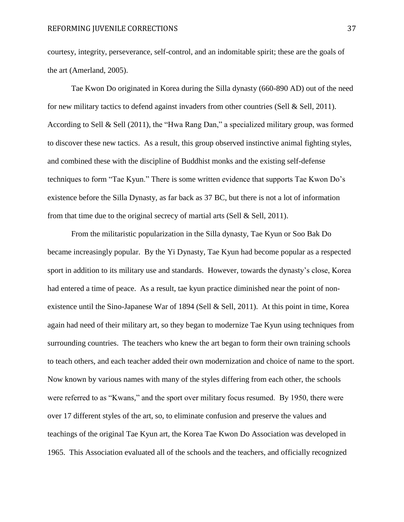courtesy, integrity, perseverance, self-control, and an indomitable spirit; these are the goals of the art (Amerland, 2005).

Tae Kwon Do originated in Korea during the Silla dynasty (660-890 AD) out of the need for new military tactics to defend against invaders from other countries (Sell & Sell, 2011). According to Sell & Sell (2011), the "Hwa Rang Dan," a specialized military group, was formed to discover these new tactics. As a result, this group observed instinctive animal fighting styles, and combined these with the discipline of Buddhist monks and the existing self-defense techniques to form "Tae Kyun." There is some written evidence that supports Tae Kwon Do's existence before the Silla Dynasty, as far back as 37 BC, but there is not a lot of information from that time due to the original secrecy of martial arts (Sell & Sell, 2011).

From the militaristic popularization in the Silla dynasty, Tae Kyun or Soo Bak Do became increasingly popular. By the Yi Dynasty, Tae Kyun had become popular as a respected sport in addition to its military use and standards. However, towards the dynasty's close, Korea had entered a time of peace. As a result, tae kyun practice diminished near the point of nonexistence until the Sino-Japanese War of 1894 (Sell & Sell, 2011). At this point in time, Korea again had need of their military art, so they began to modernize Tae Kyun using techniques from surrounding countries. The teachers who knew the art began to form their own training schools to teach others, and each teacher added their own modernization and choice of name to the sport. Now known by various names with many of the styles differing from each other, the schools were referred to as "Kwans," and the sport over military focus resumed. By 1950, there were over 17 different styles of the art, so, to eliminate confusion and preserve the values and teachings of the original Tae Kyun art, the Korea Tae Kwon Do Association was developed in 1965. This Association evaluated all of the schools and the teachers, and officially recognized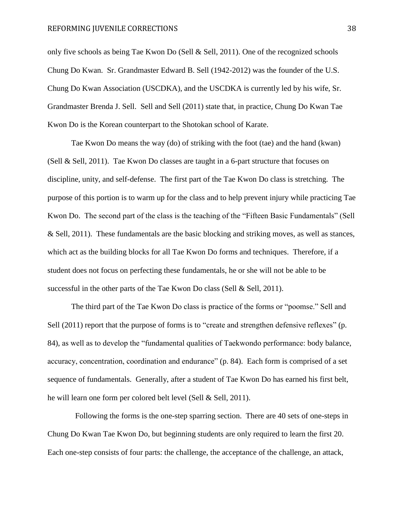only five schools as being Tae Kwon Do (Sell & Sell, 2011). One of the recognized schools Chung Do Kwan. Sr. Grandmaster Edward B. Sell (1942-2012) was the founder of the U.S. Chung Do Kwan Association (USCDKA), and the USCDKA is currently led by his wife, Sr. Grandmaster Brenda J. Sell. Sell and Sell (2011) state that, in practice, Chung Do Kwan Tae Kwon Do is the Korean counterpart to the Shotokan school of Karate.

Tae Kwon Do means the way (do) of striking with the foot (tae) and the hand (kwan) (Sell & Sell, 2011). Tae Kwon Do classes are taught in a 6-part structure that focuses on discipline, unity, and self-defense. The first part of the Tae Kwon Do class is stretching. The purpose of this portion is to warm up for the class and to help prevent injury while practicing Tae Kwon Do. The second part of the class is the teaching of the "Fifteen Basic Fundamentals" (Sell & Sell, 2011). These fundamentals are the basic blocking and striking moves, as well as stances, which act as the building blocks for all Tae Kwon Do forms and techniques. Therefore, if a student does not focus on perfecting these fundamentals, he or she will not be able to be successful in the other parts of the Tae Kwon Do class (Sell & Sell, 2011).

The third part of the Tae Kwon Do class is practice of the forms or "poomse." Sell and Sell (2011) report that the purpose of forms is to "create and strengthen defensive reflexes" (p. 84), as well as to develop the "fundamental qualities of Taekwondo performance: body balance, accuracy, concentration, coordination and endurance" (p. 84). Each form is comprised of a set sequence of fundamentals. Generally, after a student of Tae Kwon Do has earned his first belt, he will learn one form per colored belt level (Sell & Sell, 2011).

 Following the forms is the one-step sparring section. There are 40 sets of one-steps in Chung Do Kwan Tae Kwon Do, but beginning students are only required to learn the first 20. Each one-step consists of four parts: the challenge, the acceptance of the challenge, an attack,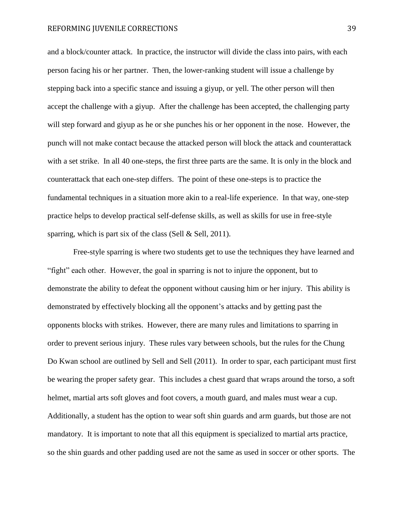and a block/counter attack. In practice, the instructor will divide the class into pairs, with each person facing his or her partner. Then, the lower-ranking student will issue a challenge by stepping back into a specific stance and issuing a giyup, or yell. The other person will then accept the challenge with a giyup. After the challenge has been accepted, the challenging party will step forward and giyup as he or she punches his or her opponent in the nose. However, the punch will not make contact because the attacked person will block the attack and counterattack with a set strike. In all 40 one-steps, the first three parts are the same. It is only in the block and counterattack that each one-step differs. The point of these one-steps is to practice the fundamental techniques in a situation more akin to a real-life experience. In that way, one-step practice helps to develop practical self-defense skills, as well as skills for use in free-style sparring, which is part six of the class (Sell  $&$  Sell, 2011).

Free-style sparring is where two students get to use the techniques they have learned and "fight" each other. However, the goal in sparring is not to injure the opponent, but to demonstrate the ability to defeat the opponent without causing him or her injury. This ability is demonstrated by effectively blocking all the opponent's attacks and by getting past the opponents blocks with strikes. However, there are many rules and limitations to sparring in order to prevent serious injury. These rules vary between schools, but the rules for the Chung Do Kwan school are outlined by Sell and Sell (2011). In order to spar, each participant must first be wearing the proper safety gear. This includes a chest guard that wraps around the torso, a soft helmet, martial arts soft gloves and foot covers, a mouth guard, and males must wear a cup. Additionally, a student has the option to wear soft shin guards and arm guards, but those are not mandatory. It is important to note that all this equipment is specialized to martial arts practice, so the shin guards and other padding used are not the same as used in soccer or other sports. The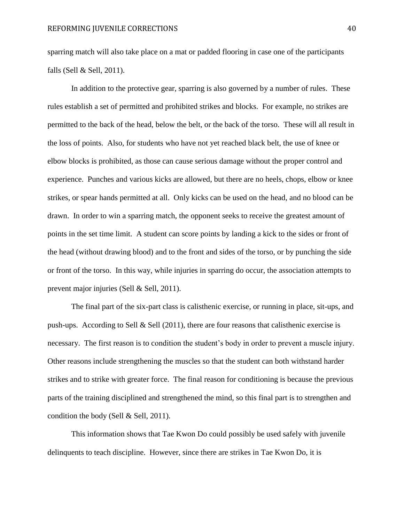sparring match will also take place on a mat or padded flooring in case one of the participants falls (Sell & Sell, 2011).

In addition to the protective gear, sparring is also governed by a number of rules. These rules establish a set of permitted and prohibited strikes and blocks. For example, no strikes are permitted to the back of the head, below the belt, or the back of the torso. These will all result in the loss of points. Also, for students who have not yet reached black belt, the use of knee or elbow blocks is prohibited, as those can cause serious damage without the proper control and experience. Punches and various kicks are allowed, but there are no heels, chops, elbow or knee strikes, or spear hands permitted at all. Only kicks can be used on the head, and no blood can be drawn. In order to win a sparring match, the opponent seeks to receive the greatest amount of points in the set time limit. A student can score points by landing a kick to the sides or front of the head (without drawing blood) and to the front and sides of the torso, or by punching the side or front of the torso. In this way, while injuries in sparring do occur, the association attempts to prevent major injuries (Sell & Sell, 2011).

The final part of the six-part class is calisthenic exercise, or running in place, sit-ups, and push-ups. According to Sell & Sell (2011), there are four reasons that calisthenic exercise is necessary. The first reason is to condition the student's body in order to prevent a muscle injury. Other reasons include strengthening the muscles so that the student can both withstand harder strikes and to strike with greater force. The final reason for conditioning is because the previous parts of the training disciplined and strengthened the mind, so this final part is to strengthen and condition the body (Sell & Sell, 2011).

This information shows that Tae Kwon Do could possibly be used safely with juvenile delinquents to teach discipline. However, since there are strikes in Tae Kwon Do, it is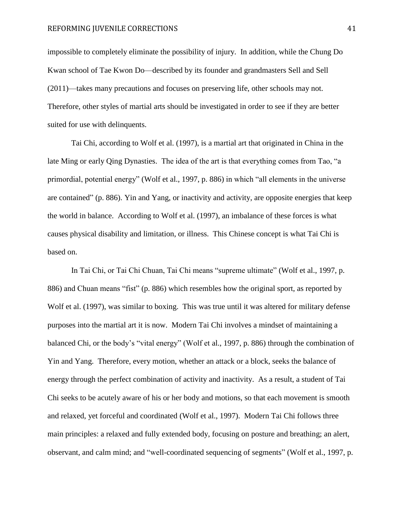impossible to completely eliminate the possibility of injury. In addition, while the Chung Do Kwan school of Tae Kwon Do—described by its founder and grandmasters Sell and Sell (2011)—takes many precautions and focuses on preserving life, other schools may not. Therefore, other styles of martial arts should be investigated in order to see if they are better suited for use with delinquents.

Tai Chi, according to Wolf et al. (1997), is a martial art that originated in China in the late Ming or early Qing Dynasties. The idea of the art is that everything comes from Tao, "a primordial, potential energy" (Wolf et al., 1997, p. 886) in which "all elements in the universe are contained" (p. 886). Yin and Yang, or inactivity and activity, are opposite energies that keep the world in balance. According to Wolf et al. (1997), an imbalance of these forces is what causes physical disability and limitation, or illness. This Chinese concept is what Tai Chi is based on.

In Tai Chi, or Tai Chi Chuan, Tai Chi means "supreme ultimate" (Wolf et al., 1997, p. 886) and Chuan means "fist" (p. 886) which resembles how the original sport, as reported by Wolf et al. (1997), was similar to boxing. This was true until it was altered for military defense purposes into the martial art it is now. Modern Tai Chi involves a mindset of maintaining a balanced Chi, or the body's "vital energy" (Wolf et al., 1997, p. 886) through the combination of Yin and Yang. Therefore, every motion, whether an attack or a block, seeks the balance of energy through the perfect combination of activity and inactivity. As a result, a student of Tai Chi seeks to be acutely aware of his or her body and motions, so that each movement is smooth and relaxed, yet forceful and coordinated (Wolf et al., 1997). Modern Tai Chi follows three main principles: a relaxed and fully extended body, focusing on posture and breathing; an alert, observant, and calm mind; and "well-coordinated sequencing of segments" (Wolf et al., 1997, p.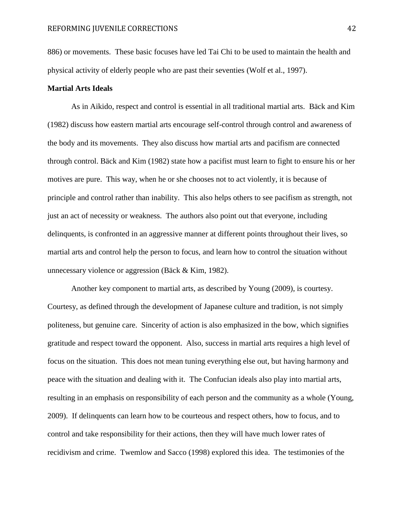886) or movements. These basic focuses have led Tai Chi to be used to maintain the health and physical activity of elderly people who are past their seventies (Wolf et al., 1997).

#### **Martial Arts Ideals**

As in Aikido, respect and control is essential in all traditional martial arts. Bäck and Kim (1982) discuss how eastern martial arts encourage self-control through control and awareness of the body and its movements. They also discuss how martial arts and pacifism are connected through control. Bäck and Kim (1982) state how a pacifist must learn to fight to ensure his or her motives are pure. This way, when he or she chooses not to act violently, it is because of principle and control rather than inability. This also helps others to see pacifism as strength, not just an act of necessity or weakness. The authors also point out that everyone, including delinquents, is confronted in an aggressive manner at different points throughout their lives, so martial arts and control help the person to focus, and learn how to control the situation without unnecessary violence or aggression (Bäck & Kim, 1982).

Another key component to martial arts, as described by Young (2009), is courtesy. Courtesy, as defined through the development of Japanese culture and tradition, is not simply politeness, but genuine care. Sincerity of action is also emphasized in the bow, which signifies gratitude and respect toward the opponent. Also, success in martial arts requires a high level of focus on the situation. This does not mean tuning everything else out, but having harmony and peace with the situation and dealing with it. The Confucian ideals also play into martial arts, resulting in an emphasis on responsibility of each person and the community as a whole (Young, 2009). If delinquents can learn how to be courteous and respect others, how to focus, and to control and take responsibility for their actions, then they will have much lower rates of recidivism and crime. Twemlow and Sacco (1998) explored this idea. The testimonies of the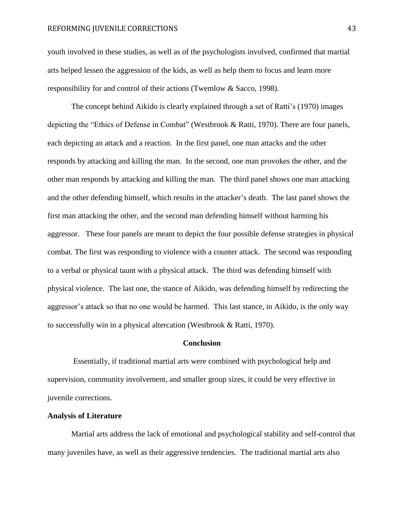youth involved in these studies, as well as of the psychologists involved, confirmed that martial arts helped lessen the aggression of the kids, as well as help them to focus and learn more responsibility for and control of their actions (Twemlow & Sacco, 1998).

The concept behind Aikido is clearly explained through a set of Ratti's (1970) images depicting the "Ethics of Defense in Combat" (Westbrook & Ratti, 1970). There are four panels, each depicting an attack and a reaction. In the first panel, one man attacks and the other responds by attacking and killing the man. In the second, one man provokes the other, and the other man responds by attacking and killing the man. The third panel shows one man attacking and the other defending himself, which results in the attacker's death. The last panel shows the first man attacking the other, and the second man defending himself without harming his aggressor. These four panels are meant to depict the four possible defense strategies in physical combat. The first was responding to violence with a counter attack. The second was responding to a verbal or physical taunt with a physical attack. The third was defending himself with physical violence. The last one, the stance of Aikido, was defending himself by redirecting the aggressor's attack so that no one would be harmed. This last stance, in Aikido, is the only way to successfully win in a physical altercation (Westbrook & Ratti, 1970).

#### **Conclusion**

Essentially, if traditional martial arts were combined with psychological help and supervision, community involvement, and smaller group sizes, it could be very effective in juvenile corrections.

### **Analysis of Literature**

Martial arts address the lack of emotional and psychological stability and self-control that many juveniles have, as well as their aggressive tendencies. The traditional martial arts also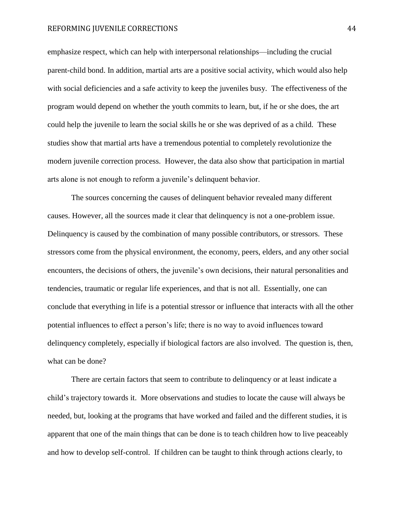emphasize respect, which can help with interpersonal relationships—including the crucial parent-child bond. In addition, martial arts are a positive social activity, which would also help with social deficiencies and a safe activity to keep the juveniles busy. The effectiveness of the program would depend on whether the youth commits to learn, but, if he or she does, the art could help the juvenile to learn the social skills he or she was deprived of as a child. These studies show that martial arts have a tremendous potential to completely revolutionize the modern juvenile correction process. However, the data also show that participation in martial arts alone is not enough to reform a juvenile's delinquent behavior.

The sources concerning the causes of delinquent behavior revealed many different causes. However, all the sources made it clear that delinquency is not a one-problem issue. Delinquency is caused by the combination of many possible contributors, or stressors. These stressors come from the physical environment, the economy, peers, elders, and any other social encounters, the decisions of others, the juvenile's own decisions, their natural personalities and tendencies, traumatic or regular life experiences, and that is not all. Essentially, one can conclude that everything in life is a potential stressor or influence that interacts with all the other potential influences to effect a person's life; there is no way to avoid influences toward delinquency completely, especially if biological factors are also involved. The question is, then, what can be done?

There are certain factors that seem to contribute to delinquency or at least indicate a child's trajectory towards it. More observations and studies to locate the cause will always be needed, but, looking at the programs that have worked and failed and the different studies, it is apparent that one of the main things that can be done is to teach children how to live peaceably and how to develop self-control. If children can be taught to think through actions clearly, to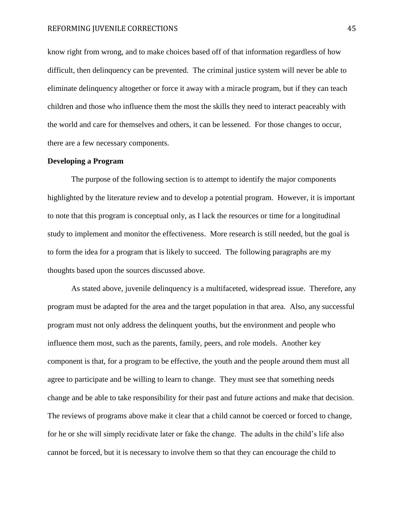know right from wrong, and to make choices based off of that information regardless of how difficult, then delinquency can be prevented. The criminal justice system will never be able to eliminate delinquency altogether or force it away with a miracle program, but if they can teach children and those who influence them the most the skills they need to interact peaceably with the world and care for themselves and others, it can be lessened. For those changes to occur, there are a few necessary components.

#### **Developing a Program**

The purpose of the following section is to attempt to identify the major components highlighted by the literature review and to develop a potential program. However, it is important to note that this program is conceptual only, as I lack the resources or time for a longitudinal study to implement and monitor the effectiveness. More research is still needed, but the goal is to form the idea for a program that is likely to succeed. The following paragraphs are my thoughts based upon the sources discussed above.

As stated above, juvenile delinquency is a multifaceted, widespread issue. Therefore, any program must be adapted for the area and the target population in that area. Also, any successful program must not only address the delinquent youths, but the environment and people who influence them most, such as the parents, family, peers, and role models. Another key component is that, for a program to be effective, the youth and the people around them must all agree to participate and be willing to learn to change. They must see that something needs change and be able to take responsibility for their past and future actions and make that decision. The reviews of programs above make it clear that a child cannot be coerced or forced to change, for he or she will simply recidivate later or fake the change. The adults in the child's life also cannot be forced, but it is necessary to involve them so that they can encourage the child to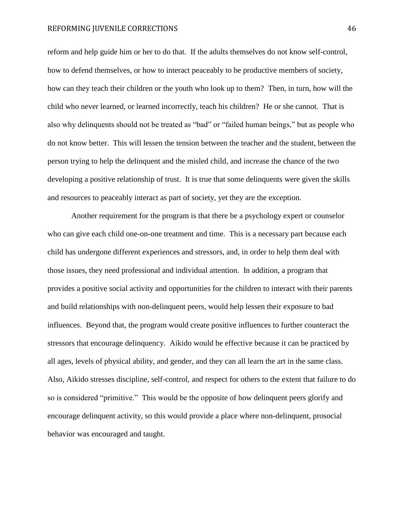reform and help guide him or her to do that. If the adults themselves do not know self-control, how to defend themselves, or how to interact peaceably to be productive members of society, how can they teach their children or the youth who look up to them? Then, in turn, how will the child who never learned, or learned incorrectly, teach his children? He or she cannot. That is also why delinquents should not be treated as "bad" or "failed human beings," but as people who do not know better. This will lessen the tension between the teacher and the student, between the person trying to help the delinquent and the misled child, and increase the chance of the two developing a positive relationship of trust. It is true that some delinquents were given the skills and resources to peaceably interact as part of society, yet they are the exception.

Another requirement for the program is that there be a psychology expert or counselor who can give each child one-on-one treatment and time. This is a necessary part because each child has undergone different experiences and stressors, and, in order to help them deal with those issues, they need professional and individual attention. In addition, a program that provides a positive social activity and opportunities for the children to interact with their parents and build relationships with non-delinquent peers, would help lessen their exposure to bad influences. Beyond that, the program would create positive influences to further counteract the stressors that encourage delinquency. Aikido would be effective because it can be practiced by all ages, levels of physical ability, and gender, and they can all learn the art in the same class. Also, Aikido stresses discipline, self-control, and respect for others to the extent that failure to do so is considered "primitive." This would be the opposite of how delinquent peers glorify and encourage delinquent activity, so this would provide a place where non-delinquent, prosocial behavior was encouraged and taught.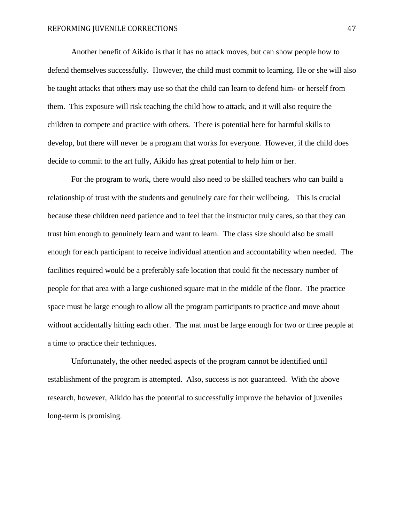Another benefit of Aikido is that it has no attack moves, but can show people how to defend themselves successfully. However, the child must commit to learning. He or she will also be taught attacks that others may use so that the child can learn to defend him- or herself from them. This exposure will risk teaching the child how to attack, and it will also require the children to compete and practice with others. There is potential here for harmful skills to develop, but there will never be a program that works for everyone. However, if the child does decide to commit to the art fully, Aikido has great potential to help him or her.

For the program to work, there would also need to be skilled teachers who can build a relationship of trust with the students and genuinely care for their wellbeing. This is crucial because these children need patience and to feel that the instructor truly cares, so that they can trust him enough to genuinely learn and want to learn. The class size should also be small enough for each participant to receive individual attention and accountability when needed. The facilities required would be a preferably safe location that could fit the necessary number of people for that area with a large cushioned square mat in the middle of the floor. The practice space must be large enough to allow all the program participants to practice and move about without accidentally hitting each other. The mat must be large enough for two or three people at a time to practice their techniques.

Unfortunately, the other needed aspects of the program cannot be identified until establishment of the program is attempted. Also, success is not guaranteed. With the above research, however, Aikido has the potential to successfully improve the behavior of juveniles long-term is promising.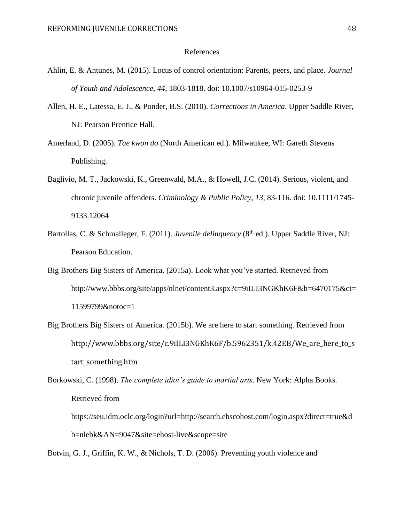#### References

- Ahlin, E. & Antunes, M. (2015). Locus of control orientation: Parents, peers, and place. *Journal of Youth and Adolescence, 44,* 1803-1818. doi: 10.1007/s10964-015-0253-9
- Allen, H. E., Latessa, E. J., & Ponder, B.S. (2010). *Corrections in America*. Upper Saddle River, NJ: Pearson Prentice Hall.
- Amerland, D. (2005). *Tae kwon do* (North American ed.). Milwaukee, WI: Gareth Stevens Publishing.
- Baglivio, M. T., Jackowski, K., Greenwald, M.A., & Howell, J.C. (2014). Serious, violent, and chronic juvenile offenders. *Criminology & Public Policy, 13*, 83-116. doi: 10.1111/1745- 9133.12064
- Bartollas, C. & Schmalleger, F. (2011). *Juvenile delinquency* (8<sup>th</sup> ed.). Upper Saddle River, NJ: Pearson Education.
- Big Brothers Big Sisters of America. (2015a). Look what you've started. Retrieved from http://www.bbbs.org/site/apps/nlnet/content3.aspx?c=9iILI3NGKhK6F&b=6470175&ct= 11599799&notoc=1
- Big Brothers Big Sisters of America. (2015b). We are here to start something. Retrieved from http://www.bbbs.org/site/c.9iILI3NGKhK6F/b.5962351/k.42EB/We\_are\_here\_to\_s tart\_something.htm
- Borkowski, C. (1998). *The complete idiot's guide to martial arts*. New York: Alpha Books. Retrieved from
	- https://seu.idm.oclc.org/login?url=http://search.ebscohost.com/login.aspx?direct=true&d b=nlebk&AN=9047&site=ehost-live&scope=site

Botvin, G. J., Griffin, K. W., & Nichols, T. D. (2006). Preventing youth violence and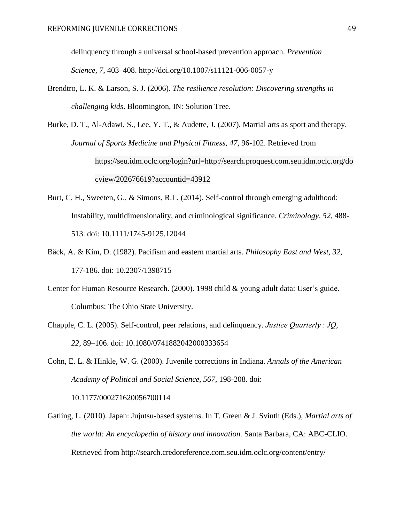delinquency through a universal school-based prevention approach. *Prevention Science*, *7*, 403–408. http://doi.org/10.1007/s11121-006-0057-y

Brendtro, L. K. & Larson, S. J. (2006). *The resilience resolution: Discovering strengths in challenging kids*. Bloomington, IN: Solution Tree.

Burke, D. T., Al-Adawi, S., Lee, Y. T., & Audette, J. (2007). Martial arts as sport and therapy. *Journal of Sports Medicine and Physical Fitness, 47,* 96-102. Retrieved from https://seu.idm.oclc.org/login?url=http://search.proquest.com.seu.idm.oclc.org/do cview/202676619?accountid=43912

- Burt, C. H., Sweeten, G., & Simons, R.L. (2014). Self-control through emerging adulthood: Instability, multidimensionality, and criminological significance. *Criminology, 52*, 488- 513. doi: 10.1111/1745-9125.12044
- Bäck, A. & Kim, D. (1982). Pacifism and eastern martial arts. *Philosophy East and West, 32*, 177-186. doi: 10.2307/1398715
- Center for Human Resource Research. (2000). 1998 child & young adult data: User's guide. Columbus: The Ohio State University.
- Chapple, C. L. (2005). Self-control, peer relations, and delinquency. *Justice Quarterly : JQ*, *22*, 89–106. doi: 10.1080/0741882042000333654

Cohn, E. L. & Hinkle, W. G. (2000). Juvenile corrections in Indiana. *Annals of the American Academy of Political and Social Science, 567*, 198-208. doi: 10.1177/000271620056700114

Gatling, L. (2010). Japan: Jujutsu-based systems. In T. Green & J. Svinth (Eds.), *Martial arts of the world: An encyclopedia of history and innovation.* Santa Barbara, CA: ABC-CLIO. Retrieved from http://search.credoreference.com.seu.idm.oclc.org/content/entry/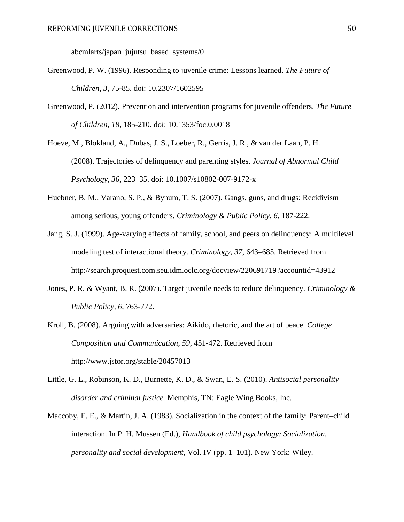abcmlarts/japan\_jujutsu\_based\_systems/0

- Greenwood, P. W. (1996). Responding to juvenile crime: Lessons learned. *The Future of Children, 3,* 75-85. doi: 10.2307/1602595
- Greenwood, P. (2012). Prevention and intervention programs for juvenile offenders. *The Future of Children, 18*, 185-210. doi: 10.1353/foc.0.0018

Hoeve, M., Blokland, A., Dubas, J. S., Loeber, R., Gerris, J. R., & van der Laan, P. H. (2008). Trajectories of delinquency and parenting styles. *Journal of Abnormal Child Psychology*, *36*, 223–35. doi: 10.1007/s10802-007-9172-x

- Huebner, B. M., Varano, S. P., & Bynum, T. S. (2007). Gangs, guns, and drugs: Recidivism among serious, young offenders. *Criminology & Public Policy, 6*, 187-222.
- Jang, S. J. (1999). Age-varying effects of family, school, and peers on delinquency: A multilevel modeling test of interactional theory. *Criminology*, *37*, 643–685. Retrieved from http://search.proquest.com.seu.idm.oclc.org/docview/220691719?accountid=43912
- Jones, P. R. & Wyant, B. R. (2007). Target juvenile needs to reduce delinquency. *Criminology & Public Policy, 6*, 763-772.
- Kroll, B. (2008). Arguing with adversaries: Aikido, rhetoric, and the art of peace. *College Composition and Communication, 59*, 451-472. Retrieved from http://www.jstor.org/stable/20457013
- Little, G. L., Robinson, K. D., Burnette, K. D., & Swan, E. S. (2010). *Antisocial personality disorder and criminal justice.* Memphis, TN: Eagle Wing Books, Inc.
- Maccoby, E. E., & Martin, J. A. (1983). Socialization in the context of the family: Parent–child interaction. In P. H. Mussen (Ed.), *Handbook of child psychology: Socialization, personality and social development*, Vol. IV (pp. 1–101). New York: Wiley.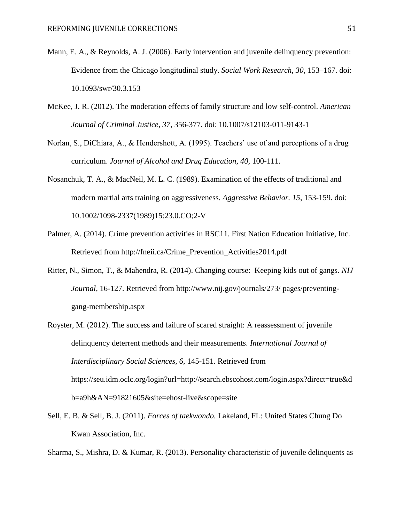- Mann, E. A., & Reynolds, A. J. (2006). Early intervention and juvenile delinquency prevention: Evidence from the Chicago longitudinal study. *Social Work Research*, *30*, 153–167. doi: 10.1093/swr/30.3.153
- McKee, J. R. (2012). The moderation effects of family structure and low self-control. *American Journal of Criminal Justice, 37*, 356-377. doi: 10.1007/s12103-011-9143-1
- Norlan, S., DiChiara, A., & Hendershott, A. (1995). Teachers' use of and perceptions of a drug curriculum. *Journal of Alcohol and Drug Education, 40,* 100-111.
- Nosanchuk, T. A., & MacNeil, M. L. C. (1989). Examination of the effects of traditional and modern martial arts training on aggressiveness. *Aggressive Behavior. 15*, 153-159. doi: 10.1002/1098-2337(1989)15:23.0.CO;2-V
- Palmer, A. (2014). Crime prevention activities in RSC11. First Nation Education Initiative, Inc*.* Retrieved from http://fneii.ca/Crime\_Prevention\_Activities2014.pdf
- Ritter, N., Simon, T., & Mahendra, R. (2014). Changing course: Keeping kids out of gangs. *NIJ Journal*, 16-127. Retrieved from http://www.nij.gov/journals/273/ pages/preventinggang-membership.aspx
- Royster, M. (2012). The success and failure of scared straight: A reassessment of juvenile delinquency deterrent methods and their measurements. *International Journal of Interdisciplinary Social Sciences, 6*, 145-151. Retrieved from https://seu.idm.oclc.org/login?url=http://search.ebscohost.com/login.aspx?direct=true&d b=a9h&AN=91821605&site=ehost-live&scope=site
- Sell, E. B. & Sell, B. J. (2011). *Forces of taekwondo.* Lakeland, FL: United States Chung Do Kwan Association, Inc.

Sharma, S., Mishra, D. & Kumar, R. (2013). Personality characteristic of juvenile delinquents as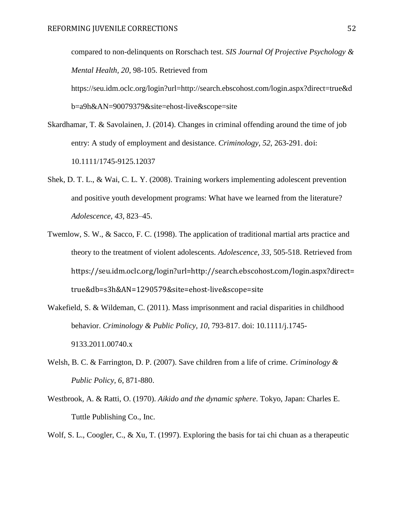compared to non-delinquents on Rorschach test. *SIS Journal Of Projective Psychology & Mental Health, 20*, 98-105. Retrieved from https://seu.idm.oclc.org/login?url=http://search.ebscohost.com/login.aspx?direct=true&d b=a9h&AN=90079379&site=ehost-live&scope=site

- Skardhamar, T. & Savolainen, J. (2014). Changes in criminal offending around the time of job entry: A study of employment and desistance. *Criminology, 52*, 263-291. doi: 10.1111/1745-9125.12037
- Shek, D. T. L., & Wai, C. L. Y. (2008). Training workers implementing adolescent prevention and positive youth development programs: What have we learned from the literature? *Adolescence*, *43*, 823–45.
- Twemlow, S. W., & Sacco, F. C. (1998). The application of traditional martial arts practice and theory to the treatment of violent adolescents. *Adolescence, 33,* 505-518. Retrieved from https://seu.idm.oclc.org/login?url=http://search.ebscohost.com/login.aspx?direct= true&db=s3h&AN=1290579&site=ehost-live&scope=site
- Wakefield, S. & Wildeman, C. (2011). Mass imprisonment and racial disparities in childhood behavior. *Criminology & Public Policy, 10*, 793-817. doi: 10.1111/j.1745- 9133.2011.00740.x
- Welsh, B. C. & Farrington, D. P. (2007). Save children from a life of crime. *Criminology & Public Policy, 6*, 871-880.
- Westbrook, A. & Ratti, O. (1970). *Aikido and the dynamic sphere*. Tokyo, Japan: Charles E. Tuttle Publishing Co., Inc.
- Wolf, S. L., Coogler, C., & Xu, T. (1997). Exploring the basis for tai chi chuan as a therapeutic